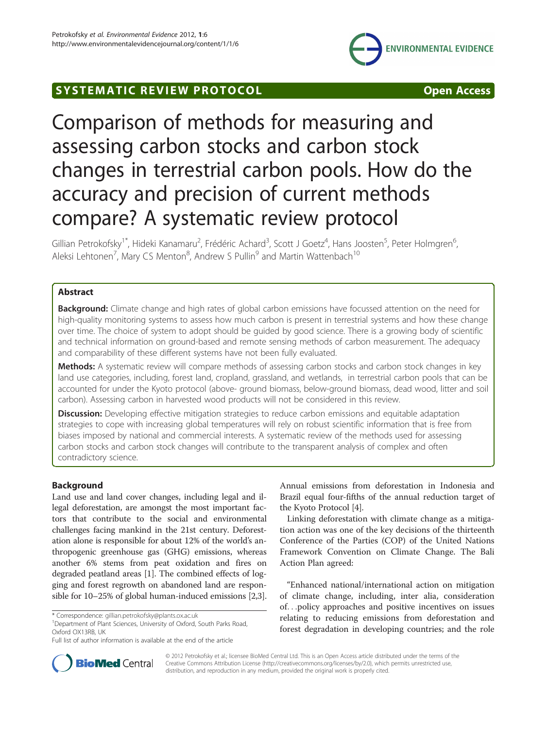

## SYSTEMATIC REVIEW PROTOCOL **CONTROL** CONTROL CONTROL CONTROL CONTROL CONTROL CONTROL CONTROL CONTROL CONTROL CONTROL CONTROL CONTROL CONTROL CONTROL CONTROL CONTROL CONTROL CONTROL CONTROL CONTROL CONTROL CONTROL CONTROL C



# Comparison of methods for measuring and assessing carbon stocks and carbon stock changes in terrestrial carbon pools. How do the accuracy and precision of current methods compare? A systematic review protocol

Gillian Petrokofsky<sup>1\*</sup>, Hideki Kanamaru<sup>2</sup>, Frédéric Achard<sup>3</sup>, Scott J Goetz<sup>4</sup>, Hans Joosten<sup>5</sup>, Peter Holmgren<sup>6</sup> , Aleksi Lehtonen<sup>7</sup>, Mary CS Menton<sup>8</sup>, Andrew S Pullin<sup>9</sup> and Martin Wattenbach<sup>10</sup>

## Abstract

Background: Climate change and high rates of global carbon emissions have focussed attention on the need for high-quality monitoring systems to assess how much carbon is present in terrestrial systems and how these change over time. The choice of system to adopt should be guided by good science. There is a growing body of scientific and technical information on ground-based and remote sensing methods of carbon measurement. The adequacy and comparability of these different systems have not been fully evaluated.

Methods: A systematic review will compare methods of assessing carbon stocks and carbon stock changes in key land use categories, including, forest land, cropland, grassland, and wetlands, in terrestrial carbon pools that can be accounted for under the Kyoto protocol (above- ground biomass, below-ground biomass, dead wood, litter and soil carbon). Assessing carbon in harvested wood products will not be considered in this review.

**Discussion:** Developing effective mitigation strategies to reduce carbon emissions and equitable adaptation strategies to cope with increasing global temperatures will rely on robust scientific information that is free from biases imposed by national and commercial interests. A systematic review of the methods used for assessing carbon stocks and carbon stock changes will contribute to the transparent analysis of complex and often contradictory science.

## Background

Land use and land cover changes, including legal and illegal deforestation, are amongst the most important factors that contribute to the social and environmental challenges facing mankind in the 21st century. Deforestation alone is responsible for about 12% of the world's anthropogenic greenhouse gas (GHG) emissions, whereas another 6% stems from peat oxidation and fires on degraded peatland areas [\[1](#page-18-0)]. The combined effects of logging and forest regrowth on abandoned land are responsible for 10–25% of global human-induced emissions [[2](#page-18-0),[3](#page-18-0)].

<sup>1</sup>Department of Plant Sciences, University of Oxford, South Parks Road, Oxford OX13RB, UK

Annual emissions from deforestation in Indonesia and Brazil equal four-fifths of the annual reduction target of the Kyoto Protocol [\[4](#page-18-0)].

Linking deforestation with climate change as a mitigation action was one of the key decisions of the thirteenth Conference of the Parties (COP) of the United Nations Framework Convention on Climate Change. The Bali Action Plan agreed:

"Enhanced national/international action on mitigation of climate change, including, inter alia, consideration of...policy approaches and positive incentives on issues relating to reducing emissions from deforestation and forest degradation in developing countries; and the role



© 2012 Petrokofsky et al.; licensee BioMed Central Ltd. This is an Open Access article distributed under the terms of the Creative Commons Attribution License ([http://creativecommons.org/licenses/by/2.0](http://www.treesearch.fs.fed.us/)), which permits unrestricted use, distribution, and reproduction in any medium, provided the original work is properly cited.

<sup>\*</sup> Correspondence: [gillian.petrokofsky@plants.ox.ac.uk](mailto:gillian.petrokofsky@plants.ox.ac.uk) <sup>1</sup>

Full list of author information is available at the end of the article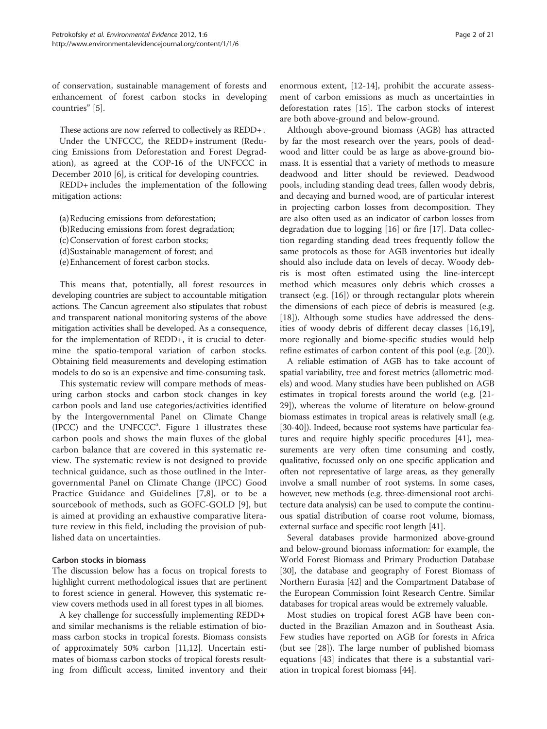of conservation, sustainable management of forests and enhancement of forest carbon stocks in developing countries" [\[5](#page-18-0)].

These actions are now referred to collectively as REDD+ .

Under the UNFCCC, the REDD+ instrument (Reducing Emissions from Deforestation and Forest Degradation), as agreed at the COP-16 of the UNFCCC in December 2010 [\[6](#page-18-0)], is critical for developing countries.

REDD+ includes the implementation of the following mitigation actions:

(a)Reducing emissions from deforestation;

(b)Reducing emissions from forest degradation;

(c)Conservation of forest carbon stocks;

(d)Sustainable management of forest; and

(e)Enhancement of forest carbon stocks.

This means that, potentially, all forest resources in developing countries are subject to accountable mitigation actions. The Cancun agreement also stipulates that robust and transparent national monitoring systems of the above mitigation activities shall be developed. As a consequence, for the implementation of REDD+, it is crucial to determine the spatio-temporal variation of carbon stocks. Obtaining field measurements and developing estimation models to do so is an expensive and time-consuming task.

This systematic review will compare methods of measuring carbon stocks and carbon stock changes in key carbon pools and land use categories/activities identified by the Intergovernmental Panel on Climate Change (IPCC) and the UNFCCC<sup>a</sup>. Figure [1](#page-2-0) illustrates these carbon pools and shows the main fluxes of the global carbon balance that are covered in this systematic review. The systematic review is not designed to provide technical guidance, such as those outlined in the Intergovernmental Panel on Climate Change (IPCC) Good Practice Guidance and Guidelines [\[7](#page-18-0),[8\]](#page-18-0), or to be a sourcebook of methods, such as GOFC-GOLD [[9\]](#page-18-0), but is aimed at providing an exhaustive comparative literature review in this field, including the provision of published data on uncertainties.

#### Carbon stocks in biomass

The discussion below has a focus on tropical forests to highlight current methodological issues that are pertinent to forest science in general. However, this systematic review covers methods used in all forest types in all biomes.

A key challenge for successfully implementing REDD+ and similar mechanisms is the reliable estimation of biomass carbon stocks in tropical forests. Biomass consists of approximately 50% carbon [[11,12\]](#page-18-0). Uncertain estimates of biomass carbon stocks of tropical forests resulting from difficult access, limited inventory and their

enormous extent, [\[12](#page-18-0)-[14](#page-18-0)], prohibit the accurate assessment of carbon emissions as much as uncertainties in deforestation rates [[15](#page-18-0)]. The carbon stocks of interest are both above-ground and below-ground.

Although above-ground biomass (AGB) has attracted by far the most research over the years, pools of deadwood and litter could be as large as above-ground biomass. It is essential that a variety of methods to measure deadwood and litter should be reviewed. Deadwood pools, including standing dead trees, fallen woody debris, and decaying and burned wood, are of particular interest in projecting carbon losses from decomposition. They are also often used as an indicator of carbon losses from degradation due to logging [\[16](#page-18-0)] or fire [[17\]](#page-18-0). Data collection regarding standing dead trees frequently follow the same protocols as those for AGB inventories but ideally should also include data on levels of decay. Woody debris is most often estimated using the line-intercept method which measures only debris which crosses a transect (e.g. [\[16\]](#page-18-0)) or through rectangular plots wherein the dimensions of each piece of debris is measured (e.g. [[18\]](#page-18-0)). Although some studies have addressed the densities of woody debris of different decay classes [\[16,19](#page-18-0)], more regionally and biome-specific studies would help refine estimates of carbon content of this pool (e.g. [\[20\]](#page-18-0)).

A reliable estimation of AGB has to take account of spatial variability, tree and forest metrics (allometric models) and wood. Many studies have been published on AGB estimates in tropical forests around the world (e.g. [\[21](#page-18-0)- [29](#page-19-0)]), whereas the volume of literature on below-ground biomass estimates in tropical areas is relatively small (e.g. [[30](#page-19-0)-[40\]](#page-19-0)). Indeed, because root systems have particular features and require highly specific procedures [[41](#page-19-0)], measurements are very often time consuming and costly, qualitative, focussed only on one specific application and often not representative of large areas, as they generally involve a small number of root systems. In some cases, however, new methods (e.g. three-dimensional root architecture data analysis) can be used to compute the continuous spatial distribution of coarse root volume, biomass, external surface and specific root length [\[41\]](#page-19-0).

Several databases provide harmonized above-ground and below-ground biomass information: for example, the World Forest Biomass and Primary Production Database [[30](#page-19-0)], the database and geography of Forest Biomass of Northern Eurasia [\[42\]](#page-19-0) and the Compartment Database of the European Commission Joint Research Centre. Similar databases for tropical areas would be extremely valuable.

Most studies on tropical forest AGB have been conducted in the Brazilian Amazon and in Southeast Asia. Few studies have reported on AGB for forests in Africa (but see [\[28\]](#page-19-0)). The large number of published biomass equations [\[43](#page-19-0)] indicates that there is a substantial variation in tropical forest biomass [\[44](#page-19-0)].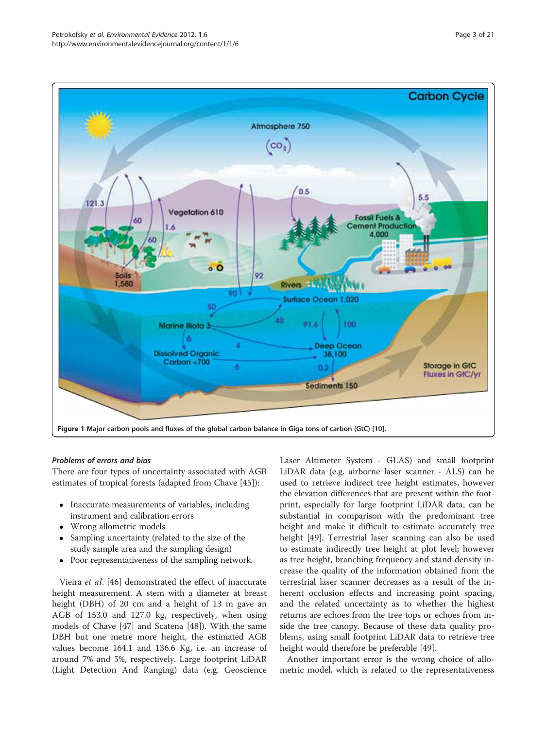<span id="page-2-0"></span>

## Problems of errors and bias

There are four types of uncertainty associated with AGB estimates of tropical forests (adapted from Chave [\[45](#page-19-0)]):

- Inaccurate measurements of variables, including instrument and calibration errors
- Wrong allometric models
- Sampling uncertainty (related to the size of the study sample area and the sampling design)
- Poor representativeness of the sampling network.

Vieira et al. [[46](#page-19-0)] demonstrated the effect of inaccurate height measurement. A stem with a diameter at breast height (DBH) of 20 cm and a height of 13 m gave an AGB of 153.0 and 127.0 kg, respectively, when using models of Chave [\[47](#page-19-0)] and Scatena [[48](#page-19-0)]). With the same DBH but one metre more height, the estimated AGB values become 164.1 and 136.6 Kg, i.e. an increase of around 7% and 5%, respectively. Large footprint LiDAR (Light Detection And Ranging) data (e.g. Geoscience Laser Altimeter System - GLAS) and small footprint LiDAR data (e.g. airborne laser scanner - ALS) can be used to retrieve indirect tree height estimates, however the elevation differences that are present within the footprint, especially for large footprint LiDAR data, can be substantial in comparison with the predominant tree height and make it difficult to estimate accurately tree height [[49](#page-19-0)]. Terrestrial laser scanning can also be used to estimate indirectly tree height at plot level; however as tree height, branching frequency and stand density increase the quality of the information obtained from the terrestrial laser scanner decreases as a result of the inherent occlusion effects and increasing point spacing, and the related uncertainty as to whether the highest returns are echoes from the tree tops or echoes from inside the tree canopy. Because of these data quality problems, using small footprint LiDAR data to retrieve tree height would therefore be preferable [\[49](#page-19-0)].

Another important error is the wrong choice of allometric model, which is related to the representativeness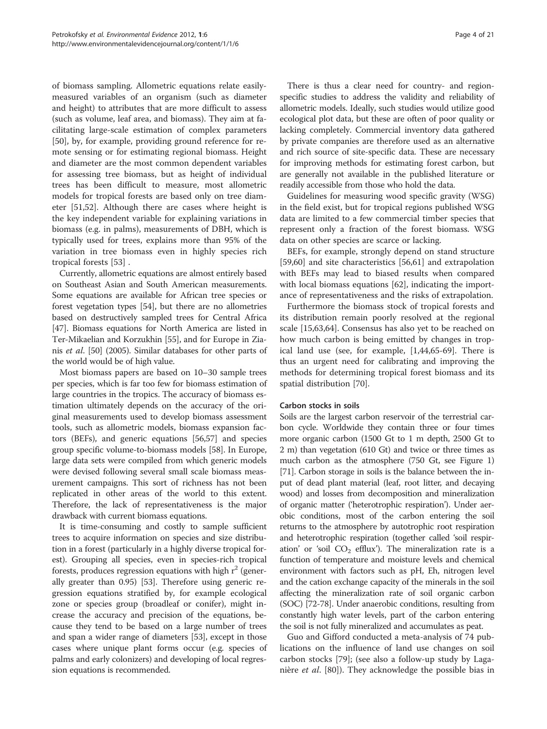of biomass sampling. Allometric equations relate easilymeasured variables of an organism (such as diameter and height) to attributes that are more difficult to assess (such as volume, leaf area, and biomass). They aim at facilitating large-scale estimation of complex parameters [[50\]](#page-19-0), by, for example, providing ground reference for remote sensing or for estimating regional biomass. Height and diameter are the most common dependent variables for assessing tree biomass, but as height of individual trees has been difficult to measure, most allometric models for tropical forests are based only on tree diameter [\[51,52](#page-19-0)]. Although there are cases where height is the key independent variable for explaining variations in biomass (e.g. in palms), measurements of DBH, which is typically used for trees, explains more than 95% of the variation in tree biomass even in highly species rich tropical forests [[53\]](#page-19-0) .

Currently, allometric equations are almost entirely based on Southeast Asian and South American measurements. Some equations are available for African tree species or forest vegetation types [[54](#page-19-0)], but there are no allometries based on destructively sampled trees for Central Africa [[47](#page-19-0)]. Biomass equations for North America are listed in Ter-Mikaelian and Korzukhin [\[55](#page-19-0)], and for Europe in Zianis et al. [[50\]](#page-19-0) (2005). Similar databases for other parts of the world would be of high value.

Most biomass papers are based on 10–30 sample trees per species, which is far too few for biomass estimation of large countries in the tropics. The accuracy of biomass estimation ultimately depends on the accuracy of the original measurements used to develop biomass assessment tools, such as allometric models, biomass expansion factors (BEFs), and generic equations [\[56,57\]](#page-19-0) and species group specific volume-to-biomass models [[58](#page-19-0)]. In Europe, large data sets were compiled from which generic models were devised following several small scale biomass measurement campaigns. This sort of richness has not been replicated in other areas of the world to this extent. Therefore, the lack of representativeness is the major drawback with current biomass equations.

It is time-consuming and costly to sample sufficient trees to acquire information on species and size distribution in a forest (particularly in a highly diverse tropical forest). Grouping all species, even in species-rich tropical forests, produces regression equations with high  $r^2$  (generally greater than 0.95) [[53](#page-19-0)]. Therefore using generic regression equations stratified by, for example ecological zone or species group (broadleaf or conifer), might increase the accuracy and precision of the equations, because they tend to be based on a large number of trees and span a wider range of diameters [\[53\]](#page-19-0), except in those cases where unique plant forms occur (e.g. species of palms and early colonizers) and developing of local regression equations is recommended.

There is thus a clear need for country- and regionspecific studies to address the validity and reliability of allometric models. Ideally, such studies would utilize good ecological plot data, but these are often of poor quality or lacking completely. Commercial inventory data gathered by private companies are therefore used as an alternative and rich source of site-specific data. These are necessary for improving methods for estimating forest carbon, but are generally not available in the published literature or readily accessible from those who hold the data.

Guidelines for measuring wood specific gravity (WSG) in the field exist, but for tropical regions published WSG data are limited to a few commercial timber species that represent only a fraction of the forest biomass. WSG data on other species are scarce or lacking.

BEFs, for example, strongly depend on stand structure [[59,60\]](#page-19-0) and site characteristics [\[56,61](#page-19-0)] and extrapolation with BEFs may lead to biased results when compared with local biomass equations [[62](#page-19-0)], indicating the importance of representativeness and the risks of extrapolation.

Furthermore the biomass stock of tropical forests and its distribution remain poorly resolved at the regional scale [\[15](#page-18-0)[,63,64](#page-19-0)]. Consensus has also yet to be reached on how much carbon is being emitted by changes in tropical land use (see, for example, [[1,](#page-18-0)[44,65-69](#page-19-0)]. There is thus an urgent need for calibrating and improving the methods for determining tropical forest biomass and its spatial distribution [\[70](#page-19-0)].

#### Carbon stocks in soils

Soils are the largest carbon reservoir of the terrestrial carbon cycle. Worldwide they contain three or four times more organic carbon (1500 Gt to 1 m depth, 2500 Gt to 2 m) than vegetation (610 Gt) and twice or three times as much carbon as the atmosphere (750 Gt, see Figure [1](#page-2-0)) [[71](#page-19-0)]. Carbon storage in soils is the balance between the input of dead plant material (leaf, root litter, and decaying wood) and losses from decomposition and mineralization of organic matter ('heterotrophic respiration'). Under aerobic conditions, most of the carbon entering the soil returns to the atmosphere by autotrophic root respiration and heterotrophic respiration (together called 'soil respiration' or 'soil  $CO<sub>2</sub>$  efflux'). The mineralization rate is a function of temperature and moisture levels and chemical environment with factors such as pH, Eh, nitrogen level and the cation exchange capacity of the minerals in the soil affecting the mineralization rate of soil organic carbon (SOC) [[72](#page-19-0)-[78](#page-20-0)]. Under anaerobic conditions, resulting from constantly high water levels, part of the carbon entering the soil is not fully mineralized and accumulates as peat.

Guo and Gifford conducted a meta-analysis of 74 publications on the influence of land use changes on soil carbon stocks [[79](#page-20-0)]; (see also a follow-up study by Laganière et al. [[80](#page-20-0)]). They acknowledge the possible bias in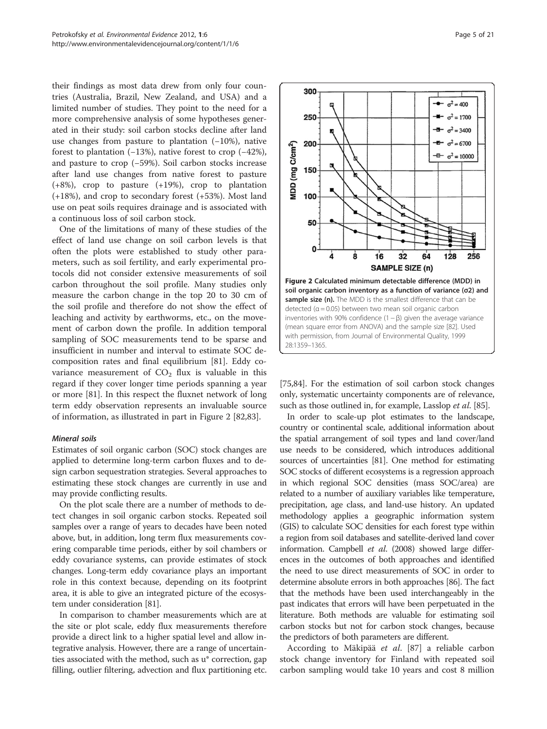their findings as most data drew from only four countries (Australia, Brazil, New Zealand, and USA) and a limited number of studies. They point to the need for a more comprehensive analysis of some hypotheses generated in their study: soil carbon stocks decline after land use changes from pasture to plantation (−10%), native forest to plantation (−13%), native forest to crop (−42%), and pasture to crop (−59%). Soil carbon stocks increase after land use changes from native forest to pasture (+8%), crop to pasture (+19%), crop to plantation (+18%), and crop to secondary forest (+53%). Most land use on peat soils requires drainage and is associated with a continuous loss of soil carbon stock.

One of the limitations of many of these studies of the effect of land use change on soil carbon levels is that often the plots were established to study other parameters, such as soil fertility, and early experimental protocols did not consider extensive measurements of soil carbon throughout the soil profile. Many studies only measure the carbon change in the top 20 to 30 cm of the soil profile and therefore do not show the effect of leaching and activity by earthworms, etc., on the movement of carbon down the profile. In addition temporal sampling of SOC measurements tend to be sparse and insufficient in number and interval to estimate SOC decomposition rates and final equilibrium [[81\]](#page-20-0). Eddy covariance measurement of  $CO<sub>2</sub>$  flux is valuable in this regard if they cover longer time periods spanning a year or more [\[81](#page-20-0)]. In this respect the fluxnet network of long term eddy observation represents an invaluable source of information, as illustrated in part in Figure 2 [\[82,83\]](#page-20-0).

#### Mineral soils

Estimates of soil organic carbon (SOC) stock changes are applied to determine long-term carbon fluxes and to design carbon sequestration strategies. Several approaches to estimating these stock changes are currently in use and may provide conflicting results.

On the plot scale there are a number of methods to detect changes in soil organic carbon stocks. Repeated soil samples over a range of years to decades have been noted above, but, in addition, long term flux measurements covering comparable time periods, either by soil chambers or eddy covariance systems, can provide estimates of stock changes. Long-term eddy covariance plays an important role in this context because, depending on its footprint area, it is able to give an integrated picture of the ecosystem under consideration [[81](#page-20-0)].

In comparison to chamber measurements which are at the site or plot scale, eddy flux measurements therefore provide a direct link to a higher spatial level and allow integrative analysis. However, there are a range of uncertainties associated with the method, such as u\* correction, gap filling, outlier filtering, advection and flux partitioning etc.



[[75](#page-20-0),[84](#page-20-0)]. For the estimation of soil carbon stock changes only, systematic uncertainty components are of relevance, such as those outlined in, for example, Lasslop *et al.* [[85](#page-20-0)].

In order to scale-up plot estimates to the landscape, country or continental scale, additional information about the spatial arrangement of soil types and land cover/land use needs to be considered, which introduces additional sources of uncertainties [[81](#page-20-0)]. One method for estimating SOC stocks of different ecosystems is a regression approach in which regional SOC densities (mass SOC/area) are related to a number of auxiliary variables like temperature, precipitation, age class, and land-use history. An updated methodology applies a geographic information system (GIS) to calculate SOC densities for each forest type within a region from soil databases and satellite-derived land cover information. Campbell *et al.* (2008) showed large differences in the outcomes of both approaches and identified the need to use direct measurements of SOC in order to determine absolute errors in both approaches [\[86](#page-20-0)]. The fact that the methods have been used interchangeably in the past indicates that errors will have been perpetuated in the literature. Both methods are valuable for estimating soil carbon stocks but not for carbon stock changes, because the predictors of both parameters are different.

According to Mäkipää et al. [[87](#page-20-0)] a reliable carbon stock change inventory for Finland with repeated soil carbon sampling would take 10 years and cost 8 million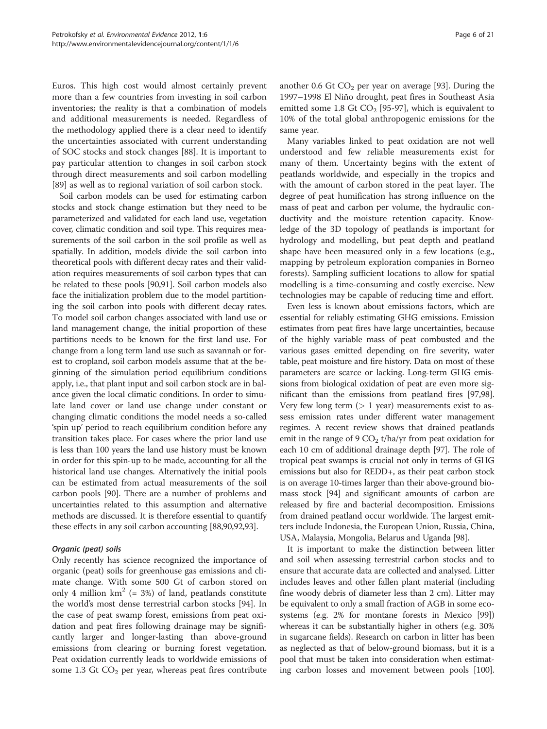Euros. This high cost would almost certainly prevent more than a few countries from investing in soil carbon inventories; the reality is that a combination of models and additional measurements is needed. Regardless of the methodology applied there is a clear need to identify the uncertainties associated with current understanding of SOC stocks and stock changes [[88](#page-20-0)]. It is important to pay particular attention to changes in soil carbon stock through direct measurements and soil carbon modelling [[89\]](#page-20-0) as well as to regional variation of soil carbon stock.

Soil carbon models can be used for estimating carbon stocks and stock change estimation but they need to be parameterized and validated for each land use, vegetation cover, climatic condition and soil type. This requires measurements of the soil carbon in the soil profile as well as spatially. In addition, models divide the soil carbon into theoretical pools with different decay rates and their validation requires measurements of soil carbon types that can be related to these pools [[90,91\]](#page-20-0). Soil carbon models also face the initialization problem due to the model partitioning the soil carbon into pools with different decay rates. To model soil carbon changes associated with land use or land management change, the initial proportion of these partitions needs to be known for the first land use. For change from a long term land use such as savannah or forest to cropland, soil carbon models assume that at the beginning of the simulation period equilibrium conditions apply, i.e., that plant input and soil carbon stock are in balance given the local climatic conditions. In order to simulate land cover or land use change under constant or changing climatic conditions the model needs a so-called 'spin up' period to reach equilibrium condition before any transition takes place. For cases where the prior land use is less than 100 years the land use history must be known in order for this spin-up to be made, accounting for all the historical land use changes. Alternatively the initial pools can be estimated from actual measurements of the soil carbon pools [[90](#page-20-0)]. There are a number of problems and uncertainties related to this assumption and alternative methods are discussed. It is therefore essential to quantify these effects in any soil carbon accounting [\[88,90,92,93](#page-20-0)].

## Organic (peat) soils

Only recently has science recognized the importance of organic (peat) soils for greenhouse gas emissions and climate change. With some 500 Gt of carbon stored on only 4 million  $km^2$  (= 3%) of land, peatlands constitute the world's most dense terrestrial carbon stocks [\[94\]](#page-20-0). In the case of peat swamp forest, emissions from peat oxidation and peat fires following drainage may be significantly larger and longer-lasting than above-ground emissions from clearing or burning forest vegetation. Peat oxidation currently leads to worldwide emissions of some  $1.3$  Gt  $CO<sub>2</sub>$  per year, whereas peat fires contribute

another 0.6 Gt  $CO<sub>2</sub>$  per year on average [[93](#page-20-0)]. During the 1997–1998 El Niño drought, peat fires in Southeast Asia emitted some 1.8 Gt  $CO<sub>2</sub>$  [[95](#page-20-0)-[97\]](#page-20-0), which is equivalent to 10% of the total global anthropogenic emissions for the same year.

Many variables linked to peat oxidation are not well understood and few reliable measurements exist for many of them. Uncertainty begins with the extent of peatlands worldwide, and especially in the tropics and with the amount of carbon stored in the peat layer. The degree of peat humification has strong influence on the mass of peat and carbon per volume, the hydraulic conductivity and the moisture retention capacity. Knowledge of the 3D topology of peatlands is important for hydrology and modelling, but peat depth and peatland shape have been measured only in a few locations (e.g., mapping by petroleum exploration companies in Borneo forests). Sampling sufficient locations to allow for spatial modelling is a time-consuming and costly exercise. New technologies may be capable of reducing time and effort.

Even less is known about emissions factors, which are essential for reliably estimating GHG emissions. Emission estimates from peat fires have large uncertainties, because of the highly variable mass of peat combusted and the various gases emitted depending on fire severity, water table, peat moisture and fire history. Data on most of these parameters are scarce or lacking. Long-term GHG emissions from biological oxidation of peat are even more significant than the emissions from peatland fires [\[97,98](#page-20-0)]. Very few long term  $(1$  year) measurements exist to assess emission rates under different water management regimes. A recent review shows that drained peatlands emit in the range of 9  $CO<sub>2</sub> t/ha/yr$  from peat oxidation for each 10 cm of additional drainage depth [\[97](#page-20-0)]. The role of tropical peat swamps is crucial not only in terms of GHG emissions but also for REDD+, as their peat carbon stock is on average 10-times larger than their above-ground biomass stock [\[94\]](#page-20-0) and significant amounts of carbon are released by fire and bacterial decomposition. Emissions from drained peatland occur worldwide. The largest emitters include Indonesia, the European Union, Russia, China, USA, Malaysia, Mongolia, Belarus and Uganda [[98](#page-20-0)].

It is important to make the distinction between litter and soil when assessing terrestrial carbon stocks and to ensure that accurate data are collected and analysed. Litter includes leaves and other fallen plant material (including fine woody debris of diameter less than 2 cm). Litter may be equivalent to only a small fraction of AGB in some ecosystems (e.g. 2% for montane forests in Mexico [[99](#page-20-0)]) whereas it can be substantially higher in others (e.g. 30% in sugarcane fields). Research on carbon in litter has been as neglected as that of below-ground biomass, but it is a pool that must be taken into consideration when estimating carbon losses and movement between pools [[100](#page-20-0)].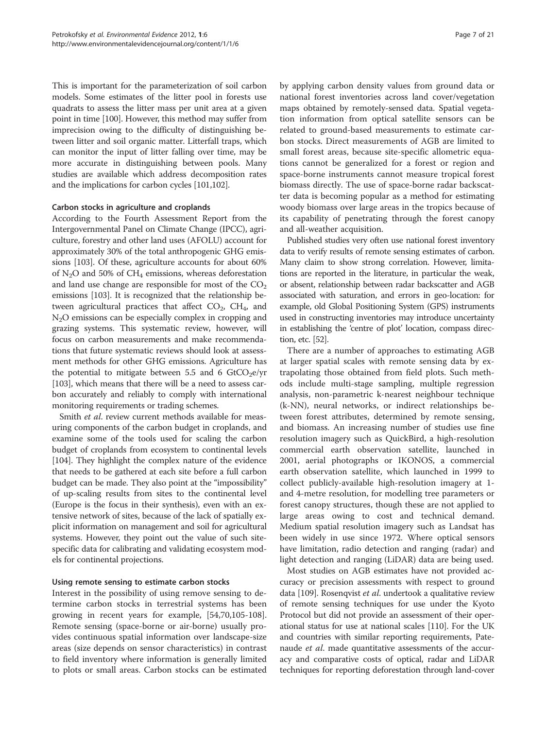This is important for the parameterization of soil carbon models. Some estimates of the litter pool in forests use quadrats to assess the litter mass per unit area at a given point in time [\[100\]](#page-20-0). However, this method may suffer from imprecision owing to the difficulty of distinguishing between litter and soil organic matter. Litterfall traps, which can monitor the input of litter falling over time, may be more accurate in distinguishing between pools. Many studies are available which address decomposition rates and the implications for carbon cycles [\[101,102](#page-20-0)].

#### Carbon stocks in agriculture and croplands

According to the Fourth Assessment Report from the Intergovernmental Panel on Climate Change (IPCC), agriculture, forestry and other land uses (AFOLU) account for approximately 30% of the total anthropogenic GHG emissions [[103](#page-20-0)]. Of these, agriculture accounts for about 60% of  $N_2O$  and 50% of CH<sub>4</sub> emissions, whereas deforestation and land use change are responsible for most of the  $CO<sub>2</sub>$ emissions [\[103\]](#page-20-0). It is recognized that the relationship between agricultural practices that affect  $CO<sub>2</sub>$ ,  $CH<sub>4</sub>$ , and  $N<sub>2</sub>O$  emissions can be especially complex in cropping and grazing systems. This systematic review, however, will focus on carbon measurements and make recommendations that future systematic reviews should look at assessment methods for other GHG emissions. Agriculture has the potential to mitigate between 5.5 and 6  $GtCO<sub>2</sub>e/yr$ [[103](#page-20-0)], which means that there will be a need to assess carbon accurately and reliably to comply with international monitoring requirements or trading schemes.

Smith et al. review current methods available for measuring components of the carbon budget in croplands, and examine some of the tools used for scaling the carbon budget of croplands from ecosystem to continental levels [[104](#page-20-0)]. They highlight the complex nature of the evidence that needs to be gathered at each site before a full carbon budget can be made. They also point at the "impossibility" of up-scaling results from sites to the continental level (Europe is the focus in their synthesis), even with an extensive network of sites, because of the lack of spatially explicit information on management and soil for agricultural systems. However, they point out the value of such sitespecific data for calibrating and validating ecosystem models for continental projections.

#### Using remote sensing to estimate carbon stocks

Interest in the possibility of using remove sensing to determine carbon stocks in terrestrial systems has been growing in recent years for example, [\[54,70](#page-19-0)[,105-108](#page-20-0)]. Remote sensing (space-borne or air-borne) usually provides continuous spatial information over landscape-size areas (size depends on sensor characteristics) in contrast to field inventory where information is generally limited to plots or small areas. Carbon stocks can be estimated

by applying carbon density values from ground data or national forest inventories across land cover/vegetation maps obtained by remotely-sensed data. Spatial vegetation information from optical satellite sensors can be related to ground-based measurements to estimate carbon stocks. Direct measurements of AGB are limited to small forest areas, because site-specific allometric equations cannot be generalized for a forest or region and space-borne instruments cannot measure tropical forest biomass directly. The use of space-borne radar backscatter data is becoming popular as a method for estimating woody biomass over large areas in the tropics because of its capability of penetrating through the forest canopy and all-weather acquisition.

Published studies very often use national forest inventory data to verify results of remote sensing estimates of carbon. Many claim to show strong correlation. However, limitations are reported in the literature, in particular the weak, or absent, relationship between radar backscatter and AGB associated with saturation, and errors in geo-location: for example, old Global Positioning System (GPS) instruments used in constructing inventories may introduce uncertainty in establishing the 'centre of plot' location, compass direction, etc. [[52](#page-19-0)].

There are a number of approaches to estimating AGB at larger spatial scales with remote sensing data by extrapolating those obtained from field plots. Such methods include multi-stage sampling, multiple regression analysis, non-parametric k-nearest neighbour technique (k-NN), neural networks, or indirect relationships between forest attributes, determined by remote sensing, and biomass. An increasing number of studies use fine resolution imagery such as QuickBird, a high-resolution commercial earth observation satellite, launched in 2001, aerial photographs or IKONOS, a commercial earth observation satellite, which launched in 1999 to collect publicly-available high-resolution imagery at 1 and 4-metre resolution, for modelling tree parameters or forest canopy structures, though these are not applied to large areas owing to cost and technical demand. Medium spatial resolution imagery such as Landsat has been widely in use since 1972. Where optical sensors have limitation, radio detection and ranging (radar) and light detection and ranging (LiDAR) data are being used.

Most studies on AGB estimates have not provided accuracy or precision assessments with respect to ground data [\[109\]](#page-20-0). Rosenqvist et al. undertook a qualitative review of remote sensing techniques for use under the Kyoto Protocol but did not provide an assessment of their operational status for use at national scales [[110](#page-20-0)]. For the UK and countries with similar reporting requirements, Patenaude et al. made quantitative assessments of the accuracy and comparative costs of optical, radar and LiDAR techniques for reporting deforestation through land-cover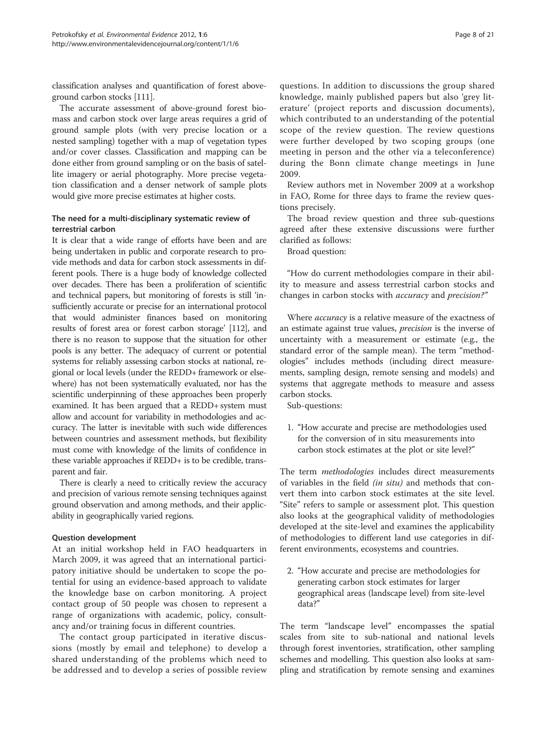classification analyses and quantification of forest aboveground carbon stocks [[111](#page-20-0)].

The accurate assessment of above-ground forest biomass and carbon stock over large areas requires a grid of ground sample plots (with very precise location or a nested sampling) together with a map of vegetation types and/or cover classes. Classification and mapping can be done either from ground sampling or on the basis of satellite imagery or aerial photography. More precise vegetation classification and a denser network of sample plots would give more precise estimates at higher costs.

## The need for a multi-disciplinary systematic review of terrestrial carbon

It is clear that a wide range of efforts have been and are being undertaken in public and corporate research to provide methods and data for carbon stock assessments in different pools. There is a huge body of knowledge collected over decades. There has been a proliferation of scientific and technical papers, but monitoring of forests is still 'insufficiently accurate or precise for an international protocol that would administer finances based on monitoring results of forest area or forest carbon storage' [\[112\]](#page-20-0), and there is no reason to suppose that the situation for other pools is any better. The adequacy of current or potential systems for reliably assessing carbon stocks at national, regional or local levels (under the REDD+ framework or elsewhere) has not been systematically evaluated, nor has the scientific underpinning of these approaches been properly examined. It has been argued that a REDD+ system must allow and account for variability in methodologies and accuracy. The latter is inevitable with such wide differences between countries and assessment methods, but flexibility must come with knowledge of the limits of confidence in these variable approaches if REDD+ is to be credible, transparent and fair.

There is clearly a need to critically review the accuracy and precision of various remote sensing techniques against ground observation and among methods, and their applicability in geographically varied regions.

## Question development

At an initial workshop held in FAO headquarters in March 2009, it was agreed that an international participatory initiative should be undertaken to scope the potential for using an evidence-based approach to validate the knowledge base on carbon monitoring. A project contact group of 50 people was chosen to represent a range of organizations with academic, policy, consultancy and/or training focus in different countries.

The contact group participated in iterative discussions (mostly by email and telephone) to develop a shared understanding of the problems which need to be addressed and to develop a series of possible review

questions. In addition to discussions the group shared knowledge, mainly published papers but also 'grey literature' (project reports and discussion documents), which contributed to an understanding of the potential scope of the review question. The review questions were further developed by two scoping groups (one meeting in person and the other via a teleconference) during the Bonn climate change meetings in June 2009.

Review authors met in November 2009 at a workshop in FAO, Rome for three days to frame the review questions precisely.

The broad review question and three sub-questions agreed after these extensive discussions were further clarified as follows:

Broad question:

"How do current methodologies compare in their ability to measure and assess terrestrial carbon stocks and changes in carbon stocks with accuracy and precision?"

Where accuracy is a relative measure of the exactness of an estimate against true values, precision is the inverse of uncertainty with a measurement or estimate (e.g., the standard error of the sample mean). The term "methodologies" includes methods (including direct measurements, sampling design, remote sensing and models) and systems that aggregate methods to measure and assess carbon stocks.

Sub-questions:

1. "How accurate and precise are methodologies used for the conversion of in situ measurements into carbon stock estimates at the plot or site level?"

The term *methodologies* includes direct measurements of variables in the field (in situ) and methods that convert them into carbon stock estimates at the site level. "Site" refers to sample or assessment plot. This question also looks at the geographical validity of methodologies developed at the site-level and examines the applicability of methodologies to different land use categories in different environments, ecosystems and countries.

2. "How accurate and precise are methodologies for generating carbon stock estimates for larger geographical areas (landscape level) from site-level data?"

The term "landscape level" encompasses the spatial scales from site to sub-national and national levels through forest inventories, stratification, other sampling schemes and modelling. This question also looks at sampling and stratification by remote sensing and examines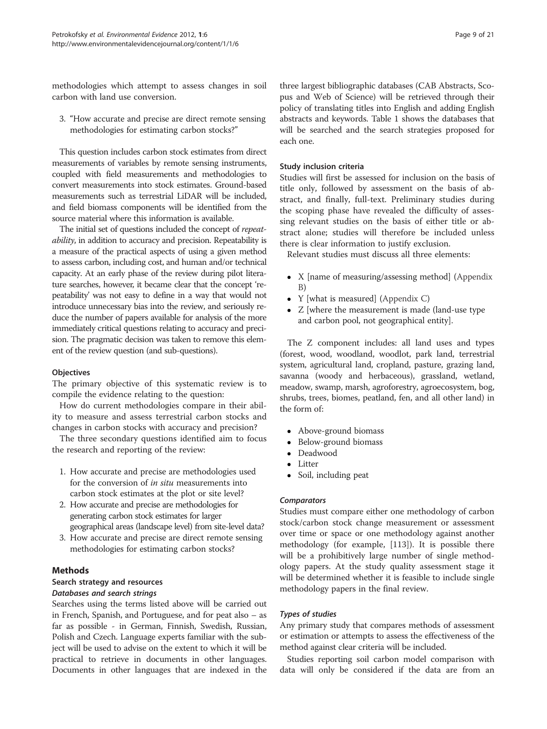methodologies which attempt to assess changes in soil carbon with land use conversion.

3. "How accurate and precise are direct remote sensing methodologies for estimating carbon stocks?"

This question includes carbon stock estimates from direct measurements of variables by remote sensing instruments, coupled with field measurements and methodologies to convert measurements into stock estimates. Ground-based measurements such as terrestrial LiDAR will be included, and field biomass components will be identified from the source material where this information is available.

The initial set of questions included the concept of repeatability, in addition to accuracy and precision. Repeatability is a measure of the practical aspects of using a given method to assess carbon, including cost, and human and/or technical capacity. At an early phase of the review during pilot literature searches, however, it became clear that the concept 'repeatability' was not easy to define in a way that would not introduce unnecessary bias into the review, and seriously reduce the number of papers available for analysis of the more immediately critical questions relating to accuracy and precision. The pragmatic decision was taken to remove this element of the review question (and sub-questions).

#### **Objectives**

The primary objective of this systematic review is to compile the evidence relating to the question:

How do current methodologies compare in their ability to measure and assess terrestrial carbon stocks and changes in carbon stocks with accuracy and precision?

The three secondary questions identified aim to focus the research and reporting of the review:

- 1. How accurate and precise are methodologies used for the conversion of in situ measurements into carbon stock estimates at the plot or site level?
- 2. How accurate and precise are methodologies for generating carbon stock estimates for larger geographical areas (landscape level) from site-level data?
- 3. How accurate and precise are direct remote sensing methodologies for estimating carbon stocks?

## Methods

## Search strategy and resources

## Databases and search strings

Searches using the terms listed above will be carried out in French, Spanish, and Portuguese, and for peat also – as far as possible - in German, Finnish, Swedish, Russian, Polish and Czech. Language experts familiar with the subject will be used to advise on the extent to which it will be practical to retrieve in documents in other languages. Documents in other languages that are indexed in the

three largest bibliographic databases (CAB Abstracts, Scopus and Web of Science) will be retrieved through their policy of translating titles into English and adding English abstracts and keywords. Table [1](#page-9-0) shows the databases that will be searched and the search strategies proposed for each one.

#### Study inclusion criteria

Studies will first be assessed for inclusion on the basis of title only, followed by assessment on the basis of abstract, and finally, full-text. Preliminary studies during the scoping phase have revealed the difficulty of assessing relevant studies on the basis of either title or abstract alone; studies will therefore be included unless there is clear information to justify exclusion.

Relevant studies must discuss all three elements:

- X [name of measuring/assessing method] (Appendix B)
- Y [what is measured] (Appendix C)
- Z [where the measurement is made (land-use type and carbon pool, not geographical entity].

The Z component includes: all land uses and types (forest, wood, woodland, woodlot, park land, terrestrial system, agricultural land, cropland, pasture, grazing land, savanna (woody and herbaceous), grassland, wetland, meadow, swamp, marsh, agroforestry, agroecosystem, bog, shrubs, trees, biomes, peatland, fen, and all other land) in the form of:

- Above-ground biomass
- Below-ground biomass
- Deadwood
- Litter
- Soil, including peat

#### **Comparators**

Studies must compare either one methodology of carbon stock/carbon stock change measurement or assessment over time or space or one methodology against another methodology (for example, [[113\]](#page-20-0)). It is possible there will be a prohibitively large number of single methodology papers. At the study quality assessment stage it will be determined whether it is feasible to include single methodology papers in the final review.

## Types of studies

Any primary study that compares methods of assessment or estimation or attempts to assess the effectiveness of the method against clear criteria will be included.

Studies reporting soil carbon model comparison with data will only be considered if the data are from an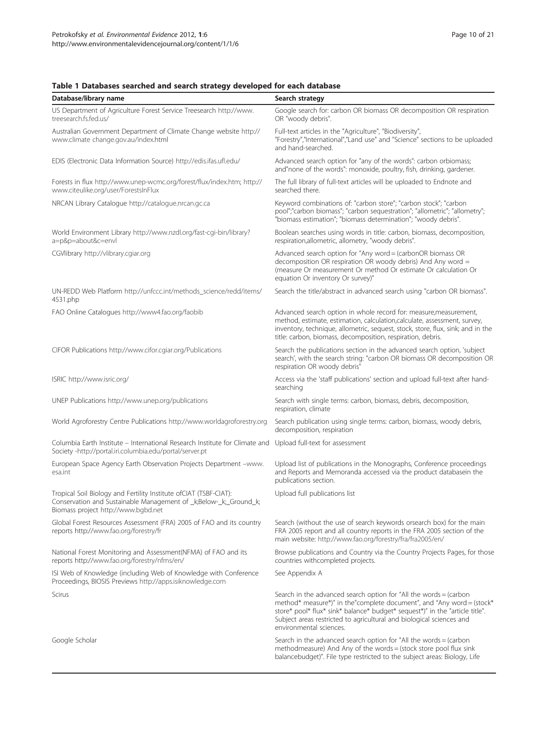## <span id="page-9-0"></span>Table 1 Databases searched and search strategy developed for each database

| rapic + Databases scarciica anu scarcii stratcyy ucveivpeu ivi cacii uatabase<br>Database/library name                                                                         | Search strategy                                                                                                                                                                                                                                                                                                                 |  |  |
|--------------------------------------------------------------------------------------------------------------------------------------------------------------------------------|---------------------------------------------------------------------------------------------------------------------------------------------------------------------------------------------------------------------------------------------------------------------------------------------------------------------------------|--|--|
|                                                                                                                                                                                |                                                                                                                                                                                                                                                                                                                                 |  |  |
| US Department of Agriculture Forest Service Treesearch http://www.<br>treesearch.fs.fed.us/                                                                                    | Google search for: carbon OR biomass OR decomposition OR respiration<br>OR "woody debris".                                                                                                                                                                                                                                      |  |  |
| Australian Government Department of Climate Change website http://<br>www.climate change.gov.au/index.html                                                                     | Full-text articles in the "Agriculture", "Biodiversity",<br>"Forestry","International","Land use" and "Science" sections to be uploaded<br>and hand-searched.                                                                                                                                                                   |  |  |
| EDIS (Electronic Data Information Source) http://edis.ifas.ufl.edu/                                                                                                            | Advanced search option for "any of the words": carbon orbiomass;<br>and"none of the words": monoxide, poultry, fish, drinking, gardener.                                                                                                                                                                                        |  |  |
| Forests in flux http://www.unep-wcmc.org/forest/flux/index.htm; http://<br>www.citeulike.org/user/ForestsInFlux                                                                | The full library of full-text articles will be uploaded to Endnote and<br>searched there.                                                                                                                                                                                                                                       |  |  |
| NRCAN Library Catalogue http://catalogue.nrcan.gc.ca                                                                                                                           | Keyword combinations of: "carbon store"; "carbon stock"; "carbon<br>pool";"carbon biomass"; "carbon sequestration"; "allometric"; "allometry";<br>"biomass estimation"; "biomass determination"; "woody debris".                                                                                                                |  |  |
| World Environment Library http://www.nzdl.org/fast-cgi-bin/library?<br>a=p&p=about&c=envl                                                                                      | Boolean searches using words in title: carbon, biomass, decomposition,<br>respiration, allometric, allometry, "woody debris".                                                                                                                                                                                                   |  |  |
| CGVIibrary http://vlibrary.cgiar.org                                                                                                                                           | Advanced search option for "Any word = (carbonOR biomass OR<br>decomposition OR respiration OR woody debris) And Any word =<br>(measure Or measurement Or method Or estimate Or calculation Or<br>equation Or inventory Or survey)"                                                                                             |  |  |
| UN-REDD Web Platform http://unfccc.int/methods_science/redd/items/<br>4531.php                                                                                                 | Search the title/abstract in advanced search using "carbon OR biomass".                                                                                                                                                                                                                                                         |  |  |
| FAO Online Catalogues http://www4.fao.org/faobib                                                                                                                               | Advanced search option in whole record for: measure, measurement,<br>method, estimate, estimation, calculation, calculate, assessment, survey,<br>inventory, technique, allometric, sequest, stock, store, flux, sink; and in the<br>title: carbon, biomass, decomposition, respiration, debris.                                |  |  |
| CIFOR Publications http://www.cifor.cgiar.org/Publications                                                                                                                     | Search the publications section in the advanced search option, 'subject<br>search', with the search string: "carbon OR biomass OR decomposition OR<br>respiration OR woody debris"                                                                                                                                              |  |  |
| ISRIC http://www.isric.org/                                                                                                                                                    | Access via the 'staff publications' section and upload full-text after hand-<br>searching                                                                                                                                                                                                                                       |  |  |
| UNEP Publications http://www.unep.org/publications                                                                                                                             | Search with single terms: carbon, biomass, debris, decomposition,<br>respiration, climate                                                                                                                                                                                                                                       |  |  |
| World Agroforestry Centre Publications http://www.worldagroforestry.org                                                                                                        | Search publication using single terms: carbon, biomass, woody debris,<br>decomposition, respiration                                                                                                                                                                                                                             |  |  |
| Columbia Earth Institute – International Research Institute for Climate and<br>Society -http://portal.iri.columbia.edu/portal/server.pt                                        | Upload full-text for assessment                                                                                                                                                                                                                                                                                                 |  |  |
| European Space Agency Earth Observation Projects Department -www.<br>esa.int                                                                                                   | Upload list of publications in the Monographs, Conference proceedings<br>and Reports and Memoranda accessed via the product databasein the<br>publications section.                                                                                                                                                             |  |  |
| Tropical Soil Biology and Fertility Institute of CIAT (TSBF-CIAT):<br>Conservation and Sustainable Management of _k;Below-_k;_Ground_k;<br>Biomass project http://www.bgbd.net | Upload full publications list                                                                                                                                                                                                                                                                                                   |  |  |
| Global Forest Resources Assessment (FRA) 2005 of FAO and its country<br>reports http://www.fao.org/forestry/fr                                                                 | Search (without the use of search keywords orsearch box) for the main<br>FRA 2005 report and all country reports in the FRA 2005 section of the<br>main website: http://www.fao.org/forestry/fra/fra2005/en/                                                                                                                    |  |  |
| National Forest Monitoring and Assessment(NFMA) of FAO and its<br>reports http://www.fao.org/forestry/nfms/en/                                                                 | Browse publications and Country via the Country Projects Pages, for those<br>countries withcompleted projects.                                                                                                                                                                                                                  |  |  |
| ISI Web of Knowledge (including Web of Knowledge with Conference<br>Proceedings, BIOSIS Previews http://apps.isiknowledge.com                                                  | See Appendix A                                                                                                                                                                                                                                                                                                                  |  |  |
| Scirus                                                                                                                                                                         | Search in the advanced search option for "All the words $=$ (carbon<br>method* measure*)" in the"complete document", and "Any word = (stock*<br>store* pool* flux* sink* balance* budget* sequest*)" in the "article title".<br>Subject areas restricted to agricultural and biological sciences and<br>environmental sciences. |  |  |
| Google Scholar                                                                                                                                                                 | Search in the advanced search option for "All the words $=$ (carbon<br>methodmeasure) And Any of the words = (stock store pool flux sink<br>balancebudget)". File type restricted to the subject areas: Biology, Life                                                                                                           |  |  |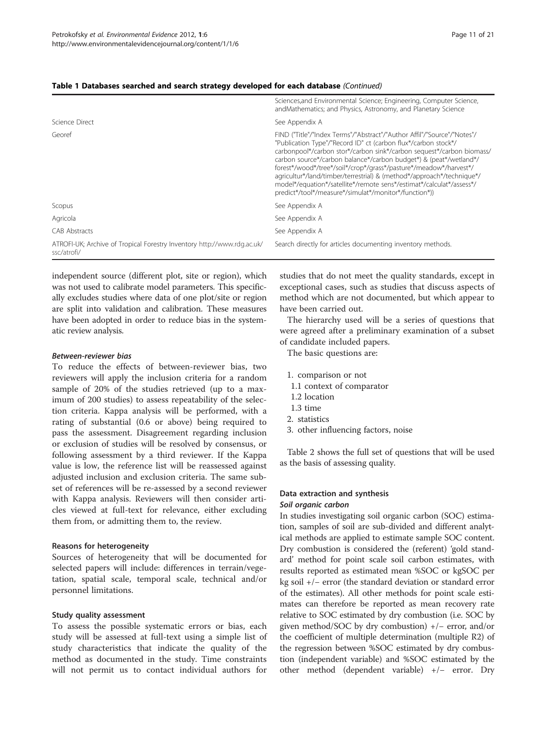|                                                                                        | Sciences, and Environmental Science; Engineering, Computer Science,<br>andMathematics; and Physics, Astronomy, and Planetary Science                                                                                                                                                                                                                                                                                                                                                                                                                                   |  |  |
|----------------------------------------------------------------------------------------|------------------------------------------------------------------------------------------------------------------------------------------------------------------------------------------------------------------------------------------------------------------------------------------------------------------------------------------------------------------------------------------------------------------------------------------------------------------------------------------------------------------------------------------------------------------------|--|--|
| Science Direct                                                                         | See Appendix A                                                                                                                                                                                                                                                                                                                                                                                                                                                                                                                                                         |  |  |
| Georef                                                                                 | FIND ("Title"/"Index Terms"/"Abstract"/"Author Affil"/"Source"/"Notes"/<br>"Publication Type"/"Record ID" ct (carbon flux*/carbon stock*/<br>carbonpool*/carbon stor*/carbon sink*/carbon sequest*/carbon biomass/<br>carbon source*/carbon balance*/carbon budget*) & (peat*/wetland*/<br>forest*/wood*/tree*/soil*/crop*/grass*/pasture*/meadow*/harvest*/<br>agricultur*/land/timber/terrestrial) & (method*/approach*/technique*/<br>model*/equation*/satellite*/remote sens*/estimat*/calculat*/assess*/<br>predict*/tool*/measure*/simulat*/monitor*/function*)) |  |  |
| Scopus                                                                                 | See Appendix A                                                                                                                                                                                                                                                                                                                                                                                                                                                                                                                                                         |  |  |
| Agricola                                                                               | See Appendix A                                                                                                                                                                                                                                                                                                                                                                                                                                                                                                                                                         |  |  |
| <b>CAB Abstracts</b>                                                                   | See Appendix A                                                                                                                                                                                                                                                                                                                                                                                                                                                                                                                                                         |  |  |
| ATROFI-UK; Archive of Tropical Forestry Inventory http://www.rdg.ac.uk/<br>ssc/atrofi/ | Search directly for articles documenting inventory methods.                                                                                                                                                                                                                                                                                                                                                                                                                                                                                                            |  |  |

#### Table 1 Databases searched and search strategy developed for each database (Continued)

independent source (different plot, site or region), which was not used to calibrate model parameters. This specifically excludes studies where data of one plot/site or region are split into validation and calibration. These measures have been adopted in order to reduce bias in the systematic review analysis.

## Between-reviewer bias

To reduce the effects of between-reviewer bias, two reviewers will apply the inclusion criteria for a random sample of 20% of the studies retrieved (up to a maximum of 200 studies) to assess repeatability of the selection criteria. Kappa analysis will be performed, with a rating of substantial (0.6 or above) being required to pass the assessment. Disagreement regarding inclusion or exclusion of studies will be resolved by consensus, or following assessment by a third reviewer. If the Kappa value is low, the reference list will be reassessed against adjusted inclusion and exclusion criteria. The same subset of references will be re-assessed by a second reviewer with Kappa analysis. Reviewers will then consider articles viewed at full-text for relevance, either excluding them from, or admitting them to, the review.

#### Reasons for heterogeneity

Sources of heterogeneity that will be documented for selected papers will include: differences in terrain/vegetation, spatial scale, temporal scale, technical and/or personnel limitations.

#### Study quality assessment

To assess the possible systematic errors or bias, each study will be assessed at full-text using a simple list of study characteristics that indicate the quality of the method as documented in the study. Time constraints will not permit us to contact individual authors for

studies that do not meet the quality standards, except in exceptional cases, such as studies that discuss aspects of method which are not documented, but which appear to have been carried out.

The hierarchy used will be a series of questions that were agreed after a preliminary examination of a subset of candidate included papers.

The basic questions are:

- 1. comparison or not
- 1.1 context of comparator
- 1.2 location
- 1.3 time
- 2. statistics
- 3. other influencing factors, noise

Table [2](#page-11-0) shows the full set of questions that will be used as the basis of assessing quality.

#### Data extraction and synthesis

#### Soil organic carbon

In studies investigating soil organic carbon (SOC) estimation, samples of soil are sub-divided and different analytical methods are applied to estimate sample SOC content. Dry combustion is considered the (referent) 'gold standard' method for point scale soil carbon estimates, with results reported as estimated mean %SOC or kgSOC per kg soil +/− error (the standard deviation or standard error of the estimates). All other methods for point scale estimates can therefore be reported as mean recovery rate relative to SOC estimated by dry combustion (i.e. SOC by given method/SOC by dry combustion) +/− error, and/or the coefficient of multiple determination (multiple R2) of the regression between %SOC estimated by dry combustion (independent variable) and %SOC estimated by the other method (dependent variable) +/− error. Dry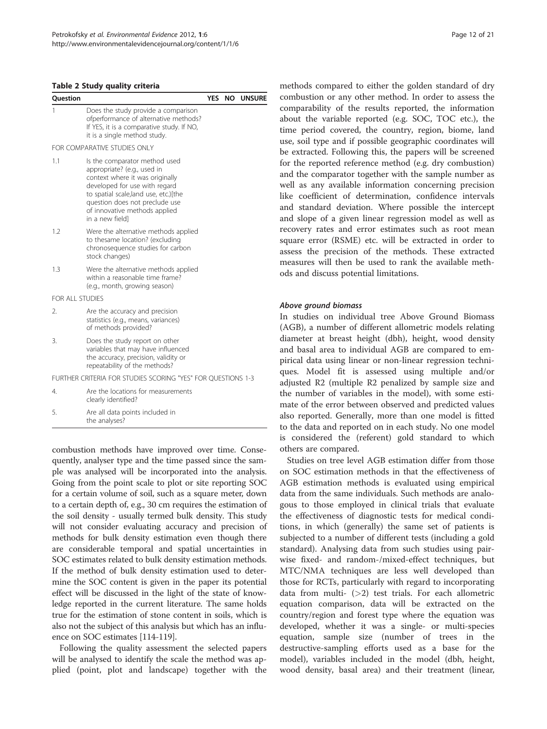#### <span id="page-11-0"></span>Table 2 Study quality criteria

| Question                                                     |                                                                                                                                                                                                                                                                  | <b>YES</b> |  | <b>NO UNSURE</b> |
|--------------------------------------------------------------|------------------------------------------------------------------------------------------------------------------------------------------------------------------------------------------------------------------------------------------------------------------|------------|--|------------------|
| 1                                                            | Does the study provide a comparison<br>ofperformance of alternative methods?<br>If YES, it is a comparative study. If NO,<br>it is a single method study.                                                                                                        |            |  |                  |
| FOR COMPARATIVE STUDIES ONLY                                 |                                                                                                                                                                                                                                                                  |            |  |                  |
| 1.1                                                          | Is the comparator method used<br>appropriate? (e.g., used in<br>context where it was originally<br>developed for use with regard<br>to spatial scale, land use, etc.) [the<br>question does not preclude use<br>of innovative methods applied<br>in a new fieldl |            |  |                  |
| 1.2                                                          | Were the alternative methods applied<br>to thesame location? (excluding<br>chronosequence studies for carbon<br>stock changes)                                                                                                                                   |            |  |                  |
| 1.3                                                          | Were the alternative methods applied<br>within a reasonable time frame?<br>(e.g., month, growing season)                                                                                                                                                         |            |  |                  |
| FOR ALL STUDIES                                              |                                                                                                                                                                                                                                                                  |            |  |                  |
| 2.                                                           | Are the accuracy and precision<br>statistics (e.g., means, variances)<br>of methods provided?                                                                                                                                                                    |            |  |                  |
| 3.                                                           | Does the study report on other<br>variables that may have influenced<br>the accuracy, precision, validity or<br>repeatability of the methods?                                                                                                                    |            |  |                  |
| FURTHER CRITERIA FOR STUDIES SCORING "YES" FOR QUESTIONS 1-3 |                                                                                                                                                                                                                                                                  |            |  |                  |
| 4.                                                           | Are the locations for measurements<br>clearly identified?                                                                                                                                                                                                        |            |  |                  |
| 5.                                                           | Are all data points included in<br>the analyses?                                                                                                                                                                                                                 |            |  |                  |

combustion methods have improved over time. Consequently, analyser type and the time passed since the sample was analysed will be incorporated into the analysis. Going from the point scale to plot or site reporting SOC for a certain volume of soil, such as a square meter, down to a certain depth of, e.g., 30 cm requires the estimation of the soil density - usually termed bulk density. This study will not consider evaluating accuracy and precision of methods for bulk density estimation even though there are considerable temporal and spatial uncertainties in SOC estimates related to bulk density estimation methods. If the method of bulk density estimation used to determine the SOC content is given in the paper its potential effect will be discussed in the light of the state of knowledge reported in the current literature. The same holds true for the estimation of stone content in soils, which is also not the subject of this analysis but which has an influence on SOC estimates [\[114-119](#page-20-0)].

Following the quality assessment the selected papers will be analysed to identify the scale the method was applied (point, plot and landscape) together with the methods compared to either the golden standard of dry combustion or any other method. In order to assess the comparability of the results reported, the information about the variable reported (e.g. SOC, TOC etc.), the time period covered, the country, region, biome, land use, soil type and if possible geographic coordinates will be extracted. Following this, the papers will be screened for the reported reference method (e.g. dry combustion) and the comparator together with the sample number as

#### Above ground biomass

ods and discuss potential limitations.

In studies on individual tree Above Ground Biomass (AGB), a number of different allometric models relating diameter at breast height (dbh), height, wood density and basal area to individual AGB are compared to empirical data using linear or non-linear regression techniques. Model fit is assessed using multiple and/or adjusted R2 (multiple R2 penalized by sample size and the number of variables in the model), with some estimate of the error between observed and predicted values also reported. Generally, more than one model is fitted to the data and reported on in each study. No one model is considered the (referent) gold standard to which others are compared.

well as any available information concerning precision like coefficient of determination, confidence intervals and standard deviation. Where possible the intercept and slope of a given linear regression model as well as recovery rates and error estimates such as root mean square error (RSME) etc. will be extracted in order to assess the precision of the methods. These extracted measures will then be used to rank the available meth-

Studies on tree level AGB estimation differ from those on SOC estimation methods in that the effectiveness of AGB estimation methods is evaluated using empirical data from the same individuals. Such methods are analogous to those employed in clinical trials that evaluate the effectiveness of diagnostic tests for medical conditions, in which (generally) the same set of patients is subjected to a number of different tests (including a gold standard). Analysing data from such studies using pairwise fixed- and random-/mixed-effect techniques, but MTC/NMA techniques are less well developed than those for RCTs, particularly with regard to incorporating data from multi-  $(>2)$  test trials. For each allometric equation comparison, data will be extracted on the country/region and forest type where the equation was developed, whether it was a single- or multi-species equation, sample size (number of trees in the destructive-sampling efforts used as a base for the model), variables included in the model (dbh, height, wood density, basal area) and their treatment (linear,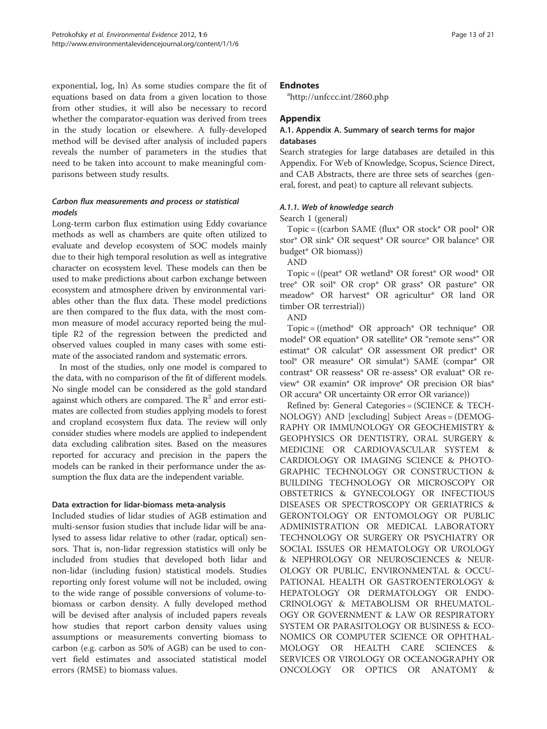exponential, log, ln) As some studies compare the fit of equations based on data from a given location to those from other studies, it will also be necessary to record whether the comparator-equation was derived from trees in the study location or elsewhere. A fully-developed method will be devised after analysis of included papers reveals the number of parameters in the studies that need to be taken into account to make meaningful comparisons between study results.

## Carbon flux measurements and process or statistical models

Long-term carbon flux estimation using Eddy covariance methods as well as chambers are quite often utilized to evaluate and develop ecosystem of SOC models mainly due to their high temporal resolution as well as integrative character on ecosystem level. These models can then be used to make predictions about carbon exchange between ecosystem and atmosphere driven by environmental variables other than the flux data. These model predictions are then compared to the flux data, with the most common measure of model accuracy reported being the multiple R2 of the regression between the predicted and observed values coupled in many cases with some estimate of the associated random and systematic errors.

In most of the studies, only one model is compared to the data, with no comparison of the fit of different models. No single model can be considered as the gold standard against which others are compared. The  $\mathbb{R}^2$  and error estimates are collected from studies applying models to forest and cropland ecosystem flux data. The review will only consider studies where models are applied to independent data excluding calibration sites. Based on the measures reported for accuracy and precision in the papers the models can be ranked in their performance under the assumption the flux data are the independent variable.

## Data extraction for lidar-biomass meta-analysis

Included studies of lidar studies of AGB estimation and multi-sensor fusion studies that include lidar will be analysed to assess lidar relative to other (radar, optical) sensors. That is, non-lidar regression statistics will only be included from studies that developed both lidar and non-lidar (including fusion) statistical models. Studies reporting only forest volume will not be included, owing to the wide range of possible conversions of volume-tobiomass or carbon density. A fully developed method will be devised after analysis of included papers reveals how studies that report carbon density values using assumptions or measurements converting biomass to carbon (e.g. carbon as 50% of AGB) can be used to convert field estimates and associated statistical model errors (RMSE) to biomass values.

#### **Endnotes**

[http://unfccc.int/2860.php](http://i http://unfccc.int/2860.php)

## Appendix

## A.1. Appendix A. Summary of search terms for major databases

Search strategies for large databases are detailed in this Appendix. For Web of Knowledge, Scopus, Science Direct, and CAB Abstracts, there are three sets of searches (general, forest, and peat) to capture all relevant subjects.

## A.1.1. Web of knowledge search

#### Search 1 (general)

Topic = ((carbon SAME (flux\* OR stock\* OR pool\* OR stor\* OR sink\* OR sequest\* OR source\* OR balance\* OR budget\* OR biomass))

AND

Topic = ((peat\* OR wetland\* OR forest\* OR wood\* OR tree\* OR soil\* OR crop\* OR grass\* OR pasture\* OR meadow\* OR harvest\* OR agricultur\* OR land OR timber OR terrestrial))

AND

Topic = ((method\* OR approach\* OR technique\* OR model\* OR equation\* OR satellite\* OR "remote sens\*" OR estimat\* OR calculat\* OR assessment OR predict\* OR tool\* OR measure\* OR simulat\*) SAME (compar\* OR contrast\* OR reassess\* OR re-assess\* OR evaluat\* OR review\* OR examin\* OR improve\* OR precision OR bias\* OR accura\* OR uncertainty OR error OR variance))

Refined by: General Categories = (SCIENCE & TECH-NOLOGY) AND [excluding] Subject Areas = (DEMOG-RAPHY OR IMMUNOLOGY OR GEOCHEMISTRY & GEOPHYSICS OR DENTISTRY, ORAL SURGERY & MEDICINE OR CARDIOVASCULAR SYSTEM & CARDIOLOGY OR IMAGING SCIENCE & PHOTO-GRAPHIC TECHNOLOGY OR CONSTRUCTION & BUILDING TECHNOLOGY OR MICROSCOPY OR OBSTETRICS & GYNECOLOGY OR INFECTIOUS DISEASES OR SPECTROSCOPY OR GERIATRICS & GERONTOLOGY OR ENTOMOLOGY OR PUBLIC ADMINISTRATION OR MEDICAL LABORATORY TECHNOLOGY OR SURGERY OR PSYCHIATRY OR SOCIAL ISSUES OR HEMATOLOGY OR UROLOGY & NEPHROLOGY OR NEUROSCIENCES & NEUR-OLOGY OR PUBLIC, ENVIRONMENTAL & OCCU-PATIONAL HEALTH OR GASTROENTEROLOGY & HEPATOLOGY OR DERMATOLOGY OR ENDO-CRINOLOGY & METABOLISM OR RHEUMATOL-OGY OR GOVERNMENT & LAW OR RESPIRATORY SYSTEM OR PARASITOLOGY OR BUSINESS & ECO-NOMICS OR COMPUTER SCIENCE OR OPHTHAL-MOLOGY OR HEALTH CARE SCIENCES & SERVICES OR VIROLOGY OR OCEANOGRAPHY OR ONCOLOGY OR OPTICS OR ANATOMY &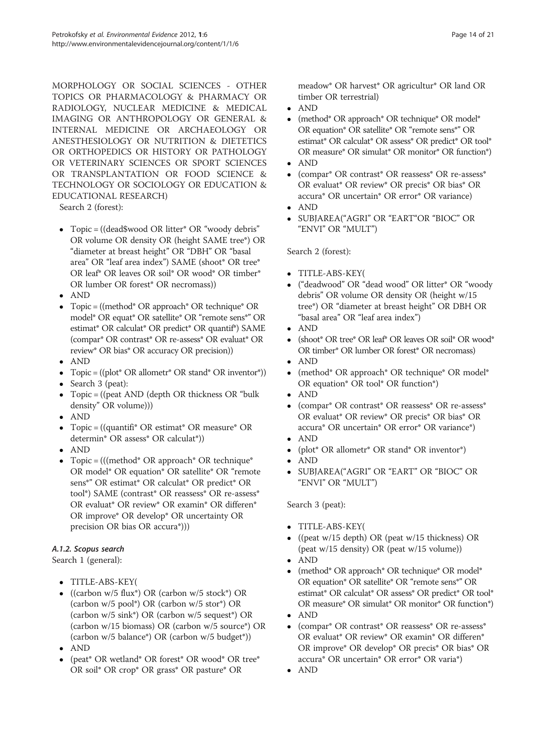MORPHOLOGY OR SOCIAL SCIENCES - OTHER TOPICS OR PHARMACOLOGY & PHARMACY OR RADIOLOGY, NUCLEAR MEDICINE & MEDICAL IMAGING OR ANTHROPOLOGY OR GENERAL & INTERNAL MEDICINE OR ARCHAEOLOGY OR ANESTHESIOLOGY OR NUTRITION & DIETETICS OR ORTHOPEDICS OR HISTORY OR PATHOLOGY OR VETERINARY SCIENCES OR SPORT SCIENCES OR TRANSPLANTATION OR FOOD SCIENCE & TECHNOLOGY OR SOCIOLOGY OR EDUCATION & EDUCATIONAL RESEARCH)

Search 2 (forest):

- Topic = ((dead\$wood OR litter\* OR "woody debris" OR volume OR density OR (height SAME tree\*) OR "diameter at breast height" OR "DBH" OR "basal area" OR "leaf area index") SAME (shoot\* OR tree\* OR leaf\* OR leaves OR soil\* OR wood\* OR timber\* OR lumber OR forest\* OR necromass))
- AND
- Topic = ((method\* OR approach\* OR technique\* OR model\* OR equat\* OR satellite\* OR "remote sens\*" OR estimat\* OR calculat\* OR predict\* OR quantif\*) SAME (compar\* OR contrast\* OR re-assess\* OR evaluat\* OR review\* OR bias\* OR accuracy OR precision))
- AND
- Topic =  $((plot^* OR allowed)$  OR stand\* OR inventor\*))
- Search 3 (peat):
- Topic = ((peat AND (depth OR thickness OR "bulk density" OR volume)))
- AND
- Topic = ((quantifi\* OR estimat\* OR measure\* OR determin\* OR assess\* OR calculat\*))
- AND
- $Topic = (((method * OR approach * OR technique *))$ OR model\* OR equation\* OR satellite\* OR "remote sens\*" OR estimat\* OR calculat\* OR predict\* OR tool\*) SAME (contrast\* OR reassess\* OR re-assess\* OR evaluat\* OR review\* OR examin\* OR differen\* OR improve\* OR develop\* OR uncertainty OR precision OR bias OR accura\*)))

## A.1.2. Scopus search

Search 1 (general):

- TITLE-ABS-KEY(
- ((carbon w/5 flux\*) OR (carbon w/5 stock\*) OR (carbon w/5 pool\*) OR (carbon w/5 stor\*) OR (carbon w/5 sink\*) OR (carbon w/5 sequest\*) OR (carbon w/15 biomass) OR (carbon w/5 source\*) OR (carbon w/5 balance\*) OR (carbon w/5 budget\*))
- AND
- (peat\* OR wetland\* OR forest\* OR wood\* OR tree\* OR soil\* OR crop\* OR grass\* OR pasture\* OR

meadow\* OR harvest\* OR agricultur\* OR land OR timber OR terrestrial)

- AND
- (method\* OR approach\* OR technique\* OR model\* OR equation\* OR satellite\* OR "remote sens\*" OR estimat\* OR calculat\* OR assess\* OR predict\* OR tool\* OR measure\* OR simulat\* OR monitor\* OR function\*) AND
- (compar\* OR contrast\* OR reassess\* OR re-assess\* OR evaluat\* OR review\* OR precis\* OR bias\* OR accura\* OR uncertain\* OR error\* OR variance)
- $\bullet$  AND
- SUBJAREA("AGRI" OR "EART"OR "BIOC" OR "ENVI" OR "MULT")

Search 2 (forest):

- TITLE-ABS-KEY(
- ("deadwood" OR "dead wood" OR litter\* OR "woody debris" OR volume OR density OR (height w/15 tree\*) OR "diameter at breast height" OR DBH OR "basal area" OR "leaf area index")
- AND
- (shoot\* OR tree\* OR leaf\* OR leaves OR soil\* OR wood\* OR timber\* OR lumber OR forest\* OR necromass)
- $\bullet$  AND
- (method\* OR approach\* OR technique\* OR model\* OR equation\* OR tool\* OR function\*)
- AND
- (compar\* OR contrast\* OR reassess\* OR re-assess\* OR evaluat\* OR review\* OR precis\* OR bias\* OR accura\* OR uncertain\* OR error\* OR variance\*)
- AND
- (plot\* OR allometr\* OR stand\* OR inventor\*)
- AND
- SUBJAREA("AGRI" OR "EART" OR "BIOC" OR "ENVI" OR "MULT")

Search 3 (peat):

- TITLE-ABS-KEY(
- ((peat w/15 depth) OR (peat w/15 thickness) OR (peat w/15 density) OR (peat w/15 volume))
- AND
- (method\* OR approach\* OR technique\* OR model\* OR equation\* OR satellite\* OR "remote sens\*" OR estimat\* OR calculat\* OR assess\* OR predict\* OR tool\* OR measure\* OR simulat\* OR monitor\* OR function\*)
- AND
- (compar\* OR contrast\* OR reassess\* OR re-assess\* OR evaluat\* OR review\* OR examin\* OR differen\* OR improve\* OR develop\* OR precis\* OR bias\* OR accura\* OR uncertain\* OR error\* OR varia\*)
- AND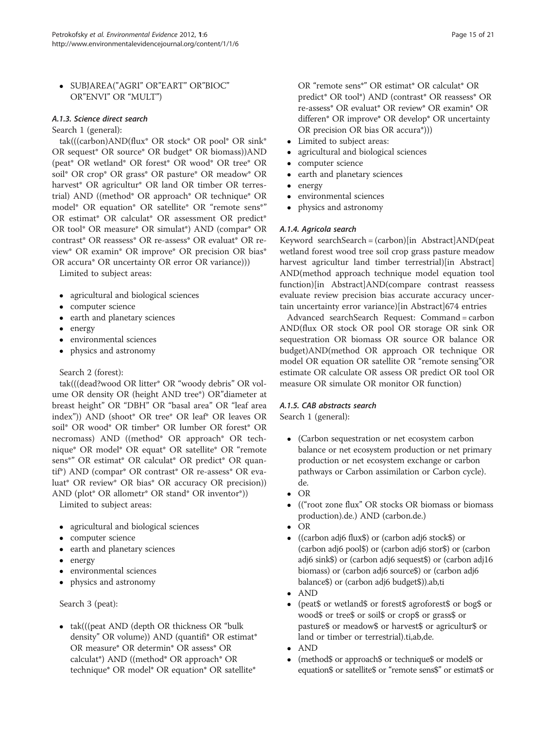## SUBJAREA("AGRI" OR"EART" OR"BIOC" OR"ENVI" OR "MULT")

## A.1.3. Science direct search

Search 1 (general):

tak(((carbon)AND(flux\* OR stock\* OR pool\* OR sink\* OR sequest\* OR source\* OR budget\* OR biomass))AND (peat\* OR wetland\* OR forest\* OR wood\* OR tree\* OR soil\* OR crop\* OR grass\* OR pasture\* OR meadow\* OR harvest\* OR agricultur\* OR land OR timber OR terrestrial) AND ((method\* OR approach\* OR technique\* OR model\* OR equation\* OR satellite\* OR "remote sens\*" OR estimat\* OR calculat\* OR assessment OR predict\* OR tool\* OR measure\* OR simulat\*) AND (compar\* OR contrast\* OR reassess\* OR re-assess\* OR evaluat\* OR review\* OR examin\* OR improve\* OR precision OR bias\* OR accura\* OR uncertainty OR error OR variance)))

Limited to subject areas:

- agricultural and biological sciences
- computer science
- earth and planetary sciences
- energy
- environmental sciences
- physics and astronomy

#### Search 2 (forest):

tak(((dead?wood OR litter\* OR "woody debris" OR volume OR density OR (height AND tree\*) OR"diameter at breast height" OR "DBH" OR "basal area" OR "leaf area index")) AND (shoot\* OR tree\* OR leaf\* OR leaves OR soil\* OR wood\* OR timber\* OR lumber OR forest\* OR necromass) AND ((method\* OR approach\* OR technique\* OR model\* OR equat\* OR satellite\* OR "remote sens\*" OR estimat\* OR calculat\* OR predict\* OR quantif\*) AND (compar\* OR contrast\* OR re-assess\* OR evaluat\* OR review\* OR bias\* OR accuracy OR precision)) AND (plot\* OR allometr\* OR stand\* OR inventor\*))

Limited to subject areas:

- agricultural and biological sciences
- computer science
- earth and planetary sciences
- energy
- environmental sciences
- physics and astronomy

#### Search 3 (peat):

• tak(((peat AND (depth OR thickness OR "bulk density" OR volume)) AND (quantifi\* OR estimat\* OR measure\* OR determin\* OR assess\* OR calculat\*) AND ((method\* OR approach\* OR technique\* OR model\* OR equation\* OR satellite\*

OR "remote sens\*" OR estimat\* OR calculat\* OR predict\* OR tool\*) AND (contrast\* OR reassess\* OR re-assess\* OR evaluat\* OR review\* OR examin\* OR differen\* OR improve\* OR develop\* OR uncertainty OR precision OR bias OR accura\*)))

- Limited to subject areas:<br>• agricultural and biologica
- agricultural and biological sciences<br>• computer science
- computer science
- earth and planetary sciences<br>• energy
- energy
- environmental sciences
- physics and astronomy

#### A.1.4. Agricola search

Keyword searchSearch = (carbon)[in Abstract]AND(peat wetland forest wood tree soil crop grass pasture meadow harvest agricultur land timber terrestrial)[in Abstract] AND(method approach technique model equation tool function)[in Abstract]AND(compare contrast reassess evaluate review precision bias accurate accuracy uncertain uncertainty error variance)[in Abstract]674 entries

Advanced searchSearch Request: Command = carbon AND(flux OR stock OR pool OR storage OR sink OR sequestration OR biomass OR source OR balance OR budget)AND(method OR approach OR technique OR model OR equation OR satellite OR "remote sensing"OR estimate OR calculate OR assess OR predict OR tool OR measure OR simulate OR monitor OR function)

#### A.1.5. CAB abstracts search

Search 1 (general):

- (Carbon sequestration or net ecosystem carbon balance or net ecosystem production or net primary production or net ecosystem exchange or carbon pathways or Carbon assimilation or Carbon cycle). de.
- $\bullet$  OR
- (("root zone flux" OR stocks OR biomass or biomass production).de.) AND (carbon.de.)
- $\bullet$  OR
- ((carbon adj6 flux\$) or (carbon adj6 stock\$) or (carbon adj6 pool\$) or (carbon adj6 stor\$) or (carbon adj6 sink\$) or (carbon adj6 sequest\$) or (carbon adj16 biomass) or (carbon adj6 source\$) or (carbon adj6 balance\$) or (carbon adj6 budget\$)).ab,ti
- AND
- (peat\$ or wetland\$ or forest\$ agroforest\$ or bog\$ or wood\$ or tree\$ or soil\$ or crop\$ or grass\$ or pasture\$ or meadow\$ or harvest\$ or agricultur\$ or land or timber or terrestrial).ti,ab,de.
- AND
- (method\$ or approach\$ or technique\$ or model\$ or equation\$ or satellite\$ or "remote sens\$" or estimat\$ or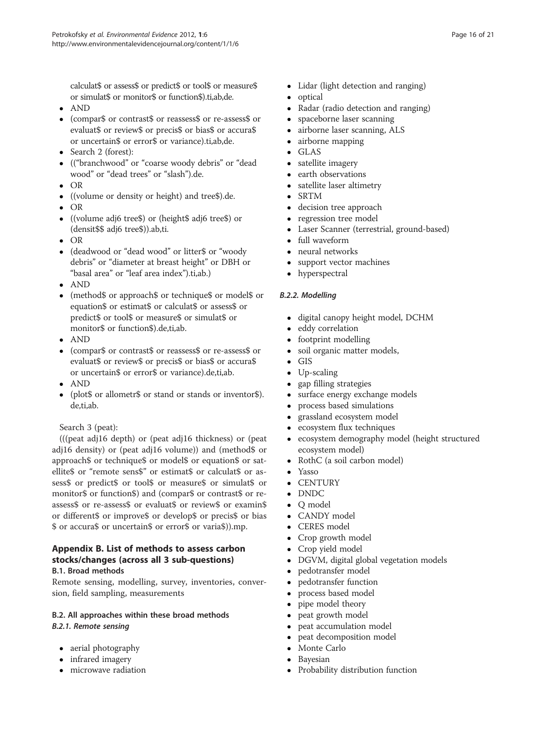calculat\$ or assess\$ or predict\$ or tool\$ or measure\$ or simulat\$ or monitor\$ or function\$).ti,ab,de.

 $\bullet$  AND

 (compar\$ or contrast\$ or reassess\$ or re-assess\$ or evaluat\$ or review\$ or precis\$ or bias\$ or accura\$ or uncertain\$ or error\$ or variance).ti,ab,de.

- Search 2 (forest):
- (("branchwood" or "coarse woody debris" or "dead wood" or "dead trees" or "slash").de.
- $\bullet$  OR
- ((volume or density or height) and tree\$).de.
- $\bullet$  OR
- ((volume adj6 tree\$) or (height\$ adj6 tree\$) or (densit\$\$ adj6 tree\$)).ab,ti.
- $\bullet$  OR
- (deadwood or "dead wood" or litter\$ or "woody debris" or "diameter at breast height" or DBH or "basal area" or "leaf area index").ti,ab.)
- AND
- (method\$ or approach\$ or technique\$ or model\$ or equation\$ or estimat\$ or calculat\$ or assess\$ or predict\$ or tool\$ or measure\$ or simulat\$ or monitor\$ or function\$).de,ti,ab.
- AND
- (compar\$ or contrast\$ or reassess\$ or re-assess\$ or evaluat\$ or review\$ or precis\$ or bias\$ or accura\$ or uncertain\$ or error\$ or variance).de,ti,ab.
- AND
- (plot\$ or allometr\$ or stand or stands or inventor\$). de,ti,ab.

## Search 3 (peat):

(((peat adj16 depth) or (peat adj16 thickness) or (peat adj16 density) or (peat adj16 volume)) and (method\$ or approach\$ or technique\$ or model\$ or equation\$ or satellite\$ or "remote sens\$" or estimat\$ or calculat\$ or assess\$ or predict\$ or tool\$ or measure\$ or simulat\$ or monitor\$ or function\$) and (compar\$ or contrast\$ or reassess\$ or re-assess\$ or evaluat\$ or review\$ or examin\$ or different\$ or improve\$ or develop\$ or precis\$ or bias \$ or accura\$ or uncertain\$ or error\$ or varia\$)).mp.

## Appendix B. List of methods to assess carbon stocks/changes (across all 3 sub-questions) B.1. Broad methods

Remote sensing, modelling, survey, inventories, conversion, field sampling, measurements

## B.2. All approaches within these broad methods B.2.1. Remote sensing

- aerial photography
- infrared imagery
- microwave radiation
- Lidar (light detection and ranging)
- optical
- Radar (radio detection and ranging)<br>• spaceborne laser scanning
- spaceborne laser scanning<br>• airborne laser scanning. A
- airborne laser scanning, ALS<br>• airborne manning
- airborne mapping<br>• GLAS
- GLAS
- satellite imagery
- earth observations
- satellite laser altimetry<br>• SRTM
- $\bullet$  SRTM
- decision tree approach
- regression tree model
- Laser Scanner (terrestrial, ground-based)
- full waveform
- neural networks
- support vector machines<br>• hyperspectral
- hyperspectral

## B.2.2. Modelling

- digital canopy height model, DCHM
- eddy correlation
- footprint modelling<br>• soil organic matter
- soil organic matter models,<br>• GIS
- $\bullet$  GIS<br> $\bullet$  Un-
- Up-scaling
- gap filling strategies<br>• surface energy exchange
- surface energy exchange models
- process based simulations
- grassland ecosystem model
- ecosystem flux techniques<br>• ecosystem demography me
- ecosystem demography model (height structured ecosystem model)
- RothC (a soil carbon model)
- Yasso
- CENTURY
- DNDC
- Q model
- CANDY model
- CERES model
- Crop growth model<br>• Crop vield model
- Crop yield model
- DGVM, digital global vegetation models
- pedotransfer model
- pedotransfer function
- process based model
- pipe model theory
- peat growth model
- peat accumulation model
- peat decomposition model
- Monte Carlo
- Bayesian
- Probability distribution function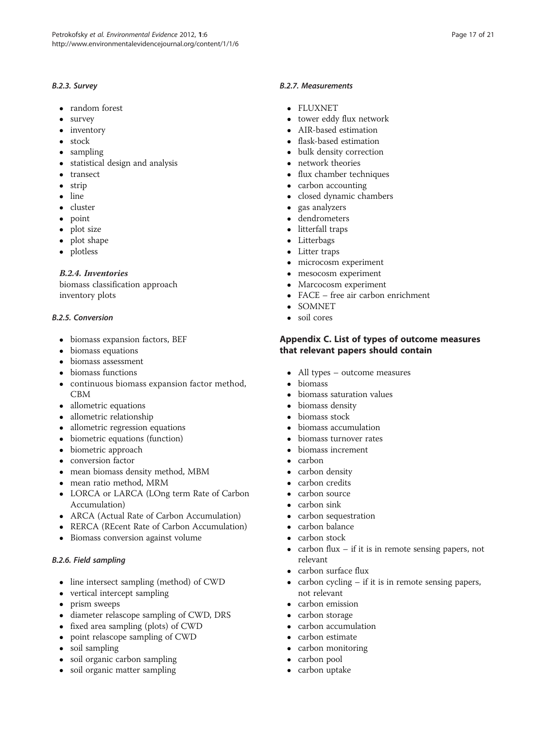## B.2.3. Survey

- random forest
- survey
- inventory
- stock
- sampling
- statistical design and analysis
- transect
- $\bullet$  strip
- line
- cluster
- point
- plot size
- plot shape
- plotless

## B.2.4. Inventories

biomass classification approach inventory plots

## B.2.5. Conversion

- biomass expansion factors, BEF
- biomass equations
- biomass assessment
- biomass functions
- continuous biomass expansion factor method, CBM
- allometric equations
- allometric relationship
- allometric regression equations
- biometric equations (function)
- biometric approach
- conversion factor
- mean biomass density method, MBM
- mean ratio method, MRM
- LORCA or LARCA (LOng term Rate of Carbon Accumulation)
- ARCA (Actual Rate of Carbon Accumulation)
- RERCA (REcent Rate of Carbon Accumulation)
- Biomass conversion against volume

## B.2.6. Field sampling

- line intersect sampling (method) of CWD
- vertical intercept sampling
- prism sweeps
- diameter relascope sampling of CWD, DRS
- fixed area sampling (plots) of CWD
- point relascope sampling of CWD
- soil sampling
- soil organic carbon sampling
- soil organic matter sampling

## B.2.7. Measurements

- FLUXNET
- tower eddy flux network
- AIR-based estimation
- flask-based estimation
- bulk density correction
- network theories
- flux chamber techniques
- carbon accounting
- closed dynamic chambers<br>• gas analyzers
- gas analyzers
- dendrometers
- litterfall traps
- Litterbags
- Litter traps
- microcosm experiment
- mesocosm experiment
- Marcocosm experiment
- FACE free air carbon enrichment
- SOMNET
- soil cores

## Appendix C. List of types of outcome measures that relevant papers should contain

- All types outcome measures
- biomass
- biomass saturation values<br>• biomass density
- biomass density
- biomass stock
- biomass accumulation
- biomass turnover rates
- biomass increment
- carbon
- carbon density
- carbon credits
- carbon source
- carbon sink
- carbon sequestration
- carbon balance
- carbon stock
- carbon flux  $-$  if it is in remote sensing papers, not relevant
- carbon surface flux
- carbon cycling  $-$  if it is in remote sensing papers, not relevant
- carbon emission
- carbon storage
- carbon accumulation
- carbon estimate
- carbon monitoring
- carbon pool
- carbon uptake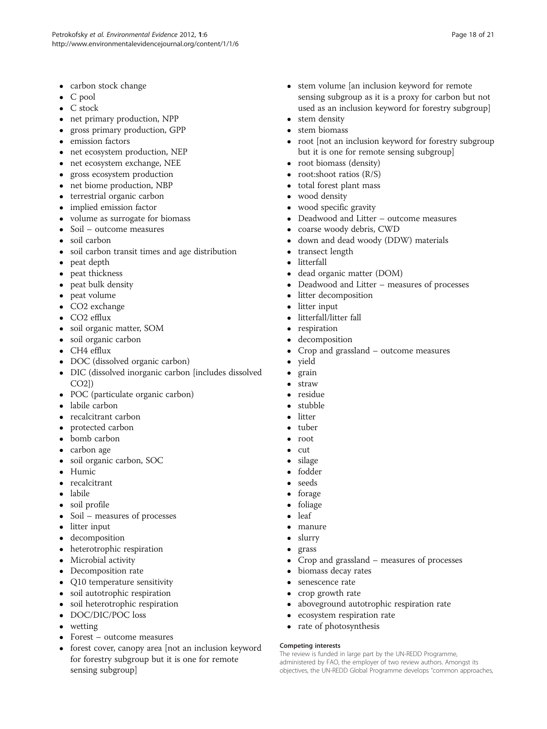- carbon stock change
- C pool
- $\bullet$  C stock
- net primary production, NPP
- gross primary production, GPP
- emission factors
- net ecosystem production, NEP
- net ecosystem exchange, NEE
- gross ecosystem production
- net biome production, NBP
- terrestrial organic carbon
- implied emission factor
- volume as surrogate for biomass
- Soil outcome measures
- soil carbon
- soil carbon transit times and age distribution
- peat depth
- peat thickness
- peat bulk density
- peat volume
- CO2 exchange
- CO2 efflux
- soil organic matter, SOM
- soil organic carbon
- CH4 efflux
- DOC (dissolved organic carbon)
- DIC (dissolved inorganic carbon [includes dissolved CO2])
- POC (particulate organic carbon)
- labile carbon
- recalcitrant carbon
- protected carbon
- bomb carbon
- carbon age
- soil organic carbon, SOC
- Humic
- recalcitrant
- labile
- soil profile
- Soil measures of processes
- litter input
- decomposition
- heterotrophic respiration
- Microbial activity
- Decomposition rate
- Q10 temperature sensitivity
- soil autotrophic respiration
- soil heterotrophic respiration
- DOC/DIC/POC loss
- wetting
- Forest outcome measures
- forest cover, canopy area [not an inclusion keyword for forestry subgroup but it is one for remote sensing subgroup]
- stem volume [an inclusion keyword for remote] sensing subgroup as it is a proxy for carbon but not used as an inclusion keyword for forestry subgroup]
- stem density<br>• stem biomas
- stem biomass<br>• root [not an ii
- root [not an inclusion keyword for forestry subgroup but it is one for remote sensing subgroup]
- root biomass (density)
- root:shoot ratios  $(R/S)$ <br>• total forest plant mass
- total forest plant mass
- wood density<br>• wood specific
- wood specific gravity
- Deadwood and Litter outcome measures<br>• coarse woody debris, CWD
- coarse woody debris, CWD
- down and dead woody (DDW) materials<br>• transect length
- transect length<br>• litterfall
- $\bullet$  litterfall<br> $\bullet$  dead org
- dead organic matter (DOM)<br>• Deadwood and Litter mea
- Deadwood and Litter measures of processes<br>• litter decomposition
- litter decomposition<br>• litter input
- litter input<br>• litterfall/litt
- litterfall/litter fall<br>• respiration
- 
- respiration<br>• decomposi
- decomposition<br>• Crop and grass • Crop and grassland – outcome measures<br>• vield
- yield<br>• <sup>orain</sup>
- grain
- $\bullet$  straw
- residue
- stubble<br>• litter
- litter
- tuber
- root
- cut
- silage<br>• fodde
- fodder
- seeds
- forage
- foliage
- leaf
- manure
- slurry
- grass
- Crop and grassland measures of processes
- biomass decay rates
- senescence rate
- crop growth rate
- aboveground autotrophic respiration rate

administered by FAO, the employer of two review authors. Amongst its objectives, the UN-REDD Global Programme develops "common approaches,

- ecosystem respiration rate
- rate of photosynthesis

#### Competing interests The review is funded in large part by the UN-REDD Programme,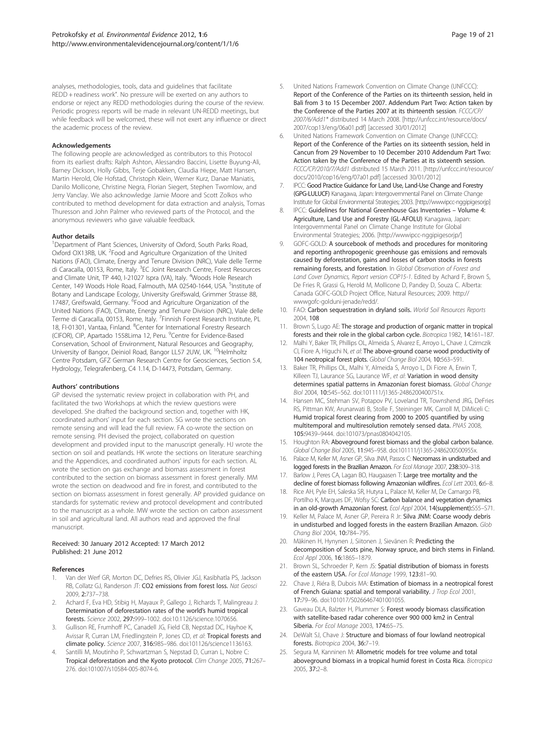<span id="page-18-0"></span>analyses, methodologies, tools, data and guidelines that facilitate REDD + readiness work". No pressure will be exerted on any authors to endorse or reject any REDD methodologies during the course of the review. Periodic progress reports will be made in relevant UN-REDD meetings, but while feedback will be welcomed, these will not exert any influence or direct the academic process of the review.

#### Acknowledgements

The following people are acknowledged as contributors to this Protocol from its earliest drafts: Ralph Ashton, Alessandro Baccini, Lisette Buyung-Ali, Barney Dickson, Holly Gibbs, Terje Gobakken, Claudia Hiepe, Matt Hansen, Martin Herold, Ole Hofstad, Christoph Klein, Werner Kurz, Danae Maniatis, Danilo Mollicone, Christine Negra, Florian Siegert, Stephen Twomlow, and Jerry Vanclay. We also acknowledge Jamie Moore and Scott Zolkos who contributed to method development for data extraction and analysis, Tomas Thuresson and John Palmer who reviewed parts of the Protocol, and the anonymous reviewers who gave valuable feedback.

#### Author details

<sup>1</sup>Department of Plant Sciences, University of Oxford, South Parks Road, Oxford OX13RB, UK. <sup>2</sup> Food and Agriculture Organization of the United Nations (FAO), Climate, Energy and Tenure Division (NRC), Viale delle Terme di Caracalla, 00153, Rome, Italy. <sup>3</sup>EC Joint Research Centre, Forest Resources and Climate Unit, TP 440, I-21027 Ispra (VA), Italy. <sup>4</sup>Woods Hole Research Center, 149 Woods Hole Road, Falmouth, MA 02540-1644, USA. <sup>5</sup>Institute of Botany and Landscape Ecology, University Greifswald, Grimmer Strasse 88, 17487, Greifswald, Germany. <sup>6</sup> Food and Agriculture Organization of the United Nations (FAO), Climate, Energy and Tenure Division (NRC), Viale delle Terme di Caracalla, 00153, Rome, Italy. <sup>7</sup> Finnish Forest Research Institute, PL 18, FI-01301, Vantaa, Finland. <sup>8</sup>Center for International Forestry Research (CIFOR), CIP, Apartado 1558Lima 12, Peru. <sup>9</sup>Centre for Evidence-Based Conservation, School of Environment, Natural Resources and Geography, University of Bangor, Deiniol Road, Bangor LL57 2UW, UK. <sup>10</sup>Helmholtz Centre Potsdam, GFZ German Research Centre for Geosciences, Section 5.4, Hydrology, Telegrafenberg, C4 1.14, D-14473, Potsdam, Germany.

#### Authors' contributions

GP devised the systematic review project in collaboration with PH, and facilitated the two Workshops at which the review questions were developed. She drafted the background section and, together with HK, coordinated authors' input for each section. SG wrote the sections on remote sensing and will lead the full review. FA co-wrote the section on remote sensing. PH devised the project, collaborated on question development and provided input to the manuscript generally. HJ wrote the section on soil and peatlands. HK wrote the sections on literature searching and the Appendices, and coordinated authors' inputs for each section. AL wrote the section on gas exchange and biomass assessment in forest contributed to the section on biomass assessment in forest generally. MM wrote the section on deadwood and fire in forest, and contributed to the section on biomass assessment in forest generally. AP provided guidance on standards for systematic review and protocol development and contributed to the manuscript as a whole. MW wrote the section on carbon assessment in soil and agricultural land. All authors read and approved the final manuscript.

#### Received: 30 January 2012 Accepted: 17 March 2012 Published: 21 June 2012

#### References

- Van der Werf GR, Morton DC, Defries RS, Olivier JGJ, Kasibhatla PS, Jackson RB, Collatz GJ, Randerson JT: CO2 emissions from forest loss. Nat Geosci 2009, 2:737–738.
- 2. Achard F, Eva HD, Stibig H, Mayaux P, Gallego J, Richards T, Malingreau J: Determination of deforestation rates of the world's humid tropical forests. Science 2002, 297:999–1002. doi[:10.1126/science.1070656.](http://dx.doi.org//10.1126/science.1070656)
- Gullison RE, Frumhoff PC, Canadell JG, Field CB, Nepstad DC, Hayhoe K, Avissar R, Curran LM, Friedlingstein P, Jones CD, et al: Tropical forests and climate policy. Science 2007, 316:985–986. doi:[101126/science1136163](http://dx.doi.org/101126/science1136163).
- 4. Santilli M, Moutinho P, Schwartzman S, Nepstad D, Curran L, Nobre C: Tropical deforestation and the Kyoto protocol. Clim Change 2005, 71:267– 276. doi:[101007/s10584-005-8074-6.](http://dx.doi.org/101007/s10584-005-8074-6)
- United Nations Framework Convention on Climate Change (UNFCCC): Report of the Conference of the Parties on its thirteenth session, held in Bali from 3 to 15 December 2007. Addendum Part Two: Action taken by the Conference of the Parties 2007 at its thirteenth session. FCCC/CP/ 2007/6/Add1\* distributed 14 March 2008. [\[http://unfccc.int/resource/docs/](http://unfccc.int/resource/docs/2007/cop13/eng/06a01.pdf) [2007/cop13/eng/06a01.pdf\]](http://unfccc.int/resource/docs/2007/cop13/eng/06a01.pdf) [accessed 30/01/2012]
- 6. United Nations Framework Convention on Climate Change (UNFCCC): Report of the Conference of the Parties on its sixteenth session, held in Cancun from 29 November to 10 December 2010 Addendum Part Two: Action taken by the Conference of the Parties at its sixteenth session. FCCC/CP/2010/7/Add1 distributed 15 March 2011. [\[http://unfccc.int/resource/](http://unfccc.int/resource/docs/2010/cop16/eng/07a01.pdf) [docs/2010/cop16/eng/07a01.pdf\]](http://unfccc.int/resource/docs/2010/cop16/eng/07a01.pdf) [accessed 30/01/2012]
- 7. IPCC: Good Practice Guidance for Land Use, Land-Use Change and Forestry (GPG-LULUCF) Kanagawa, Japan: Intergovernmental Panel on Climate Change Institute for Global Environmental Strategies; 2003. [\[http://wwwipcc-nggipigesorjp\]](http://wwwipcc-nggipigesorjp)
- 8. IPCC: Guidelines for National Greenhouse Gas Inventories Volume 4: Agriculture, Land Use and Forestry (GL-AFOLU) Kanagawa, Japan: Intergovernmental Panel on Climate Change Institute for Global Environmental Strategies; 2006. [[http://wwwipcc-nggipigesorjp/\]](http://wwwipcc-nggipigesorjp/)
- 9. GOFC-GOLD: A sourcebook of methods and procedures for monitoring and reporting anthropogenic greenhouse gas emissions and removals caused by deforestation, gains and losses of carbon stocks in forests remaining forests, and forestation. In Global Observation of Forest and Land Cover Dynamics, Report version COP15-1. Edited by Achard F, Brown S, De Fries R, Grassi G, Herold M, Mollicone D, Pandey D, Souza C. Alberta: Canada GOFC-GOLD Project Office, Natural Resources; 2009. [http://](http://wwwgofc-golduni-jenade/redd/) [wwwgofc-golduni-jenade/redd/](http://wwwgofc-golduni-jenade/redd/).
- 10. FAO: Carbon sequestration in dryland soils. World Soil Resources Reports 2004, 108
- 11. Brown S, Lugo AE: The storage and production of organic matter in tropical forests and their role in the global carbon cycle. Biotropica 1982, 14:161–187.
- 12. Malhi Y, Baker TR, Phillips OL, Almeida S, Alvarez E, Arroyo L, Chave J, Czimczik CI, Fiore A, Higuchi N, et al: The above-ground coarse wood productivity of 104 neotropical forest plots. Global Change Biol 2004, 10:563–591.
- 13. Baker TR, Phillips OL, Malhi Y, Almeida S, Arroyo L, Di Fiore A, Erwin T, Killeen TJ, Laurance SG, Laurance WF, et al: Variation in wood density determines spatial patterns in Amazonian forest biomass. Global Change Biol 2004, 10:545–562. doi:[101111/j1365-2486200400751x.](http://dx.doi.org/101111/j1365-2486200400751x)
- 14. Hansen MC, Stehman SV, Potapov PV, Loveland TR, Townshend JRG, DeFries RS, Pittman KW, Arunarwati B, Stolle F, Steininger MK, Carroll M, DiMiceli C: Humid tropical forest clearing from 2000 to 2005 quantified by using multitemporal and multiresolution remotely sensed data. PNAS 2008, 105:9439–9444. doi:[101073/pnas0804042105](http://dx.doi.org/101073/pnas0804042105).
- 15. Houghton RA: Aboveground forest biomass and the global carbon balance. Global Change Biol 2005, 11:945–958. doi:[101111/j1365-2486200500955x.](http://dx.doi.org/101111/j1365-2486200500955x)
- 16. Palace M, Keller M, Asner GP, Silva JNM, Passos C: Necromass in undisturbed and logged forests in the Brazilian Amazon. For Ecol Manage 2007, 238:309–318.
- 17. Barlow J, Peres CA, Lagan BO, Haugaasen T: Large tree mortality and the decline of forest biomass following Amazonian wildfires. Ecol Lett 2003, 6:6–8.
- 18. Rice AH, Pyle EH, Saleska SR, Hutyra L, Palace M, Keller M, De Camargo PB, Portilho K, Marques DF, Wofsy SC: Carbon balance and vegetation dynamics in an old-growth Amazonian forest. Ecol Appl 2004, 14(supplement):S55–S71.
- 19. Keller M, Palace M, Asner GP, Pereira R Jr: Silva JNM: Coarse woody debris in undisturbed and logged forests in the eastern Brazilian Amazon. Glob Chang Biol 2004, 10:784–795.
- 20. Mäkinen H, Hynynen J, Siitonen J, Sievänen R: Predicting the decomposition of Scots pine, Norway spruce, and birch stems in Finland. Ecol Appl 2006, 16:1865–1879.
- 21. Brown SL, Schroeder P, Kern JS: Spatial distribution of biomass in forests of the eastern USA. For Ecol Manage 1999, 123:81–90.
- 22. Chave J, Riéra B, Dubois MA: Estimation of biomass in a neotropical forest of French Guiana: spatial and temporal variability. J Trop Ecol 2001, 17:79–96. doi[:101017/S0266467401001055](http://dx.doi.org/101017/S0266467401001055).
- 23. Gaveau DLA, Balzter H, Plummer S: Forest woody biomass classification with satellite-based radar coherence over 900 000 km2 in Central Siberia. For Ecol Manage 2003, 174:65-75.
- 24. DeWalt SJ, Chave J: Structure and biomass of four lowland neotropical forests. Biotropica 2004, 36:7–19.
- 25. Segura M, Kanninen M: Allometric models for tree volume and total aboveground biomass in a tropical humid forest in Costa Rica. Biotropica 2005, 37:2–8.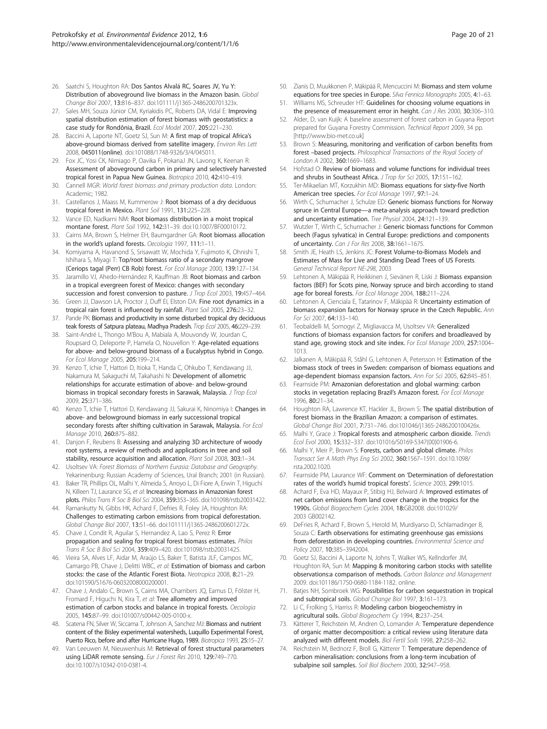- <span id="page-19-0"></span>26. Saatchi S, Houghton RA: Dos Santos Alvalá RC, Soares JV, Yu Y: Distribution of aboveground live biomass in the Amazon basin. Global Change Biol 2007, 13:816–837. doi[:101111/j1365-2486200701323x.](http://dx.doi.org/101111/j1365-2486200701323x)
- 27. Sales MH, Souza Júnior CM, Kyriakidis PC, Roberts DA, Vidal E: Improving spatial distribution estimation of forest biomass with geostatistics: a case study for Rondônia, Brazil. Ecol Model 2007, 205:221–230.
- 28. Baccini A, Laporte NT, Goetz SJ, Sun M: A first map of tropical Africa's above-ground biomass derived from satellite imagery. Environ Res Lett 2008, 045011(online). doi:[101088/1748-9326/3/4/045011.](http://dx.doi.org/101088/1748-9326/3/4/045011)
- 29. Fox JC, Yosi CK, Nimiago P, Oavika F, PokanaJ JN, Lavong K, Keenan R: Assessment of aboveground carbon in primary and selectively harvested tropical forest in Papua New Guinea. Biotropica 2010, 42:410–419.
- 30. Cannell MGR: World forest biomass and primary production data. London: Academic; 1982.
- 31. Castellanos J, Maass M, Kummerow J: Root biomass of a dry deciduous tropical forest in Mexico. Plant Soil 1991, 131:225–228.
- 32. Vance ED, Nadkarni NM: Root biomass distribution in a moist tropical montane forest. Plant Soil 1992, 142:31–39. doi[:10.1007/BF00010172](http://dx.doi.org/10.1007/BF00010172).
- 33. Cairns MA, Brown S, Helmer EH, Baumgardner GA: Root biomass allocation in the world's upland forests. Oecologia 1997, 111:1–11.
- 34. Komiyama A, Havanond S, Srisawatt W, Mochida Y, Fujimoto K, Ohnishi T, Ishihara S, Miyagi T: Top/root biomass ratio of a secondary mangrove (Ceriops tagal (Perr) CB Rob) forest. For Ecol Manage 2000, 139:127–134.
- 35. Jaramillo VJ, Ahedo-Hernández R, Kauffman JB: Root biomass and carbon in a tropical evergreen forest of Mexico: changes with secondary succession and forest conversion to pasture. J Trop Ecol 2003, 19:457-464.
- 36. Green JJ, Dawson LA, Proctor J, Duff EI, Elston DA: Fine root dynamics in a tropical rain forest is influenced by rainfall. Plant Soil 2005, 276:23–32.
- 37. Pande PK: Biomass and productivity in some disturbed tropical dry deciduous teak forests of Satpura plateau, Madhya Pradesh. Trop Ecol 2005, 46:229–239.
- 38. Saint-André L, Thongo M'Bou A, Mabiala A, Mouvondy W, Jourdan C, Roupsard O, Deleporte P, Hamela O, Nouvellon Y: Age-related equations for above- and below-ground biomass of a Eucalyptus hybrid in Congo. For Ecol Manage 2005, 205:199–214.
- 39. Kenzo T, Ichie T, Hattori D, Itioka T, Handa C, Ohkubo T, Kendawang JJ, Nakamura M, Sakaguchi M, Takahashi N: Development of allometric relationships for accurate estimation of above- and below-ground biomass in tropical secondary forests in Sarawak, Malaysia. J Trop Ecol 2009, 25:371–386.
- 40. Kenzo T, Ichie T, Hattori D, Kendawang JJ, Sakurai K, Ninomiya I: Changes in above- and belowground biomass in early successional tropical secondary forests after shifting cultivation in Sarawak, Malaysia. For Ecol Manage 2010, 260:875–882.
- 41. Danjon F, Reubens B: Assessing and analyzing 3D architecture of woody root systems, a review of methods and applications in tree and soil stability, resource acquisition and allocation. Plant Soil 2008, 303:1-34.
- 42. Usoltsev VA: Forest Biomass of Northern Eurasia: Database and Geography. Yekarinenburg: Russian Academy of Sciences, Ural Branch; 2001 (in Russian).
- 43. Baker TR, Phillips OL, Malhi Y, Almeida S, Arroyo L, Di Fiore A, Erwin T, Higuchi N, Killeen TJ, Laurance SG, et al: Increasing biomass in Amazonian forest plots. Philos Trans R Soc B Biol Sci 2004, 359:353–365. doi[:101098/rstb20031422](http://dx.doi.org/101098/rstb20031422).
- 44. Ramankutty N, Gibbs HK, Achard F, Defries R, Foley JA, Houghton RA: Challenges to estimating carbon emissions from tropical deforestation. Global Change Biol 2007, 13:51–66. doi[:101111/j1365-2486200601272x.](http://dx.doi.org/101111/j1365-2486200601272x)
- 45. Chave J, Condit R, Aguilar S, Hernandez A, Lao S, Perez R: Error propagation and sealing for tropical forest biomass estimates. Philos Trans R Soc B Biol Sci 2004, 359:409–420. doi:[101098/rstb20031425.](http://dx.doi.org/101098/rstb20031425)
- 46. Vieira SA, Alves LF, Aidar M, Araújo LS, Baker T, Batista JLF, Campos MC, Camargo PB, Chave J, Delitti WBC, et al: Estimation of biomass and carbon stocks: the case of the Atlantic Forest Biota. Neotropica 2008, 8:21–29. doi[:101590/S1676-06032008000200001.](http://dx.doi.org/101590/S1676-06032008000200001)
- 47. Chave J, Andalo C, Brown S, Cairns MA, Chambers JQ, Eamus D, Fölster H, Fromard F, Higuchi N, Kira T, et al: Tree allometry and improved estimation of carbon stocks and balance in tropical forests. Oecologia 2005, 145:87–99. doi:[101007/s00442-005-0100-x.](http://dx.doi.org/101007/s00442-005-0100-x)
- 48. Scatena FN, Silver W, Siccama T, Johnson A, Sanchez MJ: Biomass and nutrient content of the Bisley experimental watersheds, Luquillo Experimental Forest, Puerto Rico, before and after Hurricane Hugo, 1989. Biotropica 1993, 25:15-27
- 49. Van Leeuwen M, Nieuwenhuis M: Retrieval of forest structural parameters using LiDAR remote sensing. Eur J Forest Res 2010, 129:749–770. doi[:10.1007/s10342-010-0381-4](http://dx.doi.org/10.1007/s10342-010-0381-4).
- 50. Zianis D, Muukkonen P, Mäkipää R, Mencuccini M: Biomass and stem volume equations for tree species in Europe. Silva Fennica Monographs 2005, 4:1-63.
- 51. Williams MS, Schreuder HT: Guidelines for choosing volume equations in the presence of measurement error in height. Can J Res 2000, 30:306-310.
- 52. Alder, D, van Kuijk: A baseline assessment of forest carbon in Guyana Report prepared for Guyana Forestry Commission. Technical Report 2009, 34 pp. [[http://www.bio-met.co.uk\]](http://www.bio-met.co.uk)
- 53. Brown S: Measuring, monitoring and verification of carbon benefits from forest –based projects. Philosophical Transactions of the Royal Society of London A 2002, 360:1669–1683.
- 54. Hofstad O: Review of biomass and volume functions for individual trees and shrubs in Southeast Africa. J Trop for Sci 2005, 17:151–162.
- 55. Ter-Mikaelian MT, Korzukhin MD: Biomass equations for sixty-five North American tree species. For Ecol Manage 1997, 97:1-24.
- 56. Wirth C, Schumacher J, Schulze ED: Generic biomass functions for Norway spruce in Central Europe—a meta-analysis approach toward prediction and uncertainty estimation. Tree Physiol 2004, 24:121–139.
- 57. Wutzler T, Wirth C, Schumacher J: Generic biomass functions for Common beech (Fagus sylvatica) in Central Europe: predictions and components of uncertainty. Can J For Res 2008, 38:1661–1675.
- 58. Smith JE, Heath LS, Jenkins JC: Forest Volume-to-Biomass Models and Estimates of Mass for Live and Standing Dead Trees of US Forests. General Technical Report NE-298, 2003
- 59. Lehtonen A, Mäkipää R, Heikkinen J, Sievänen R, Liski J: Biomass expansion factors (BEF) for Scots pine, Norway spruce and birch according to stand age for boreal forests. For Ecol Manage 2004, 188:211–224.
- 60. Lehtonen A, Cienciala E, Tatarinov F, Mäkipää R: Uncertainty estimation of biomass expansion factors for Norway spruce in the Czech Republic. Ann For Sci 2007, 64:133–140.
- 61. Teobaldelli M, Somogyi Z, Migliavacca M, Usoltsev VA: Generalized functions of biomass expansion factors for conifers and broadleaved by stand age, growing stock and site index. For Ecol Manage 2009, 257:1004– 1013.
- 62. Jalkanen A, Mäkipää R, Ståhl G, Lehtonen A, Petersson H: Estimation of the biomass stock of trees in Sweden: comparison of biomass equations and age-dependent biomass expansion factors. Ann For Sci 2005, 62:845–851.
- 63. Fearnside PM: Amazonian deforestation and global warming: carbon stocks in vegetation replacing Brazil's Amazon forest. For Ecol Manage 1996, 80:21–34.
- 64. Houghton RA, Lawrence KT, Hackler JL, Brown S: The spatial distribution of forest biomass in the Brazilian Amazon: a comparison of estimates. Global Change Biol 2001, 7:731–746. doi[:101046/j1365-2486200100426x.](http://dx.doi.org/101046/j1365-2486200100426x)
- 65. Malhi Y, Grace J: Tropical forests and atmospheric carbon dioxide. Trends Ecol Evol 2000, 15:332–337. doi[:101016/S0169-5347\(00\)01906-6](http://dx.doi.org/101016/S0169-5347(00)01906-6).
- 66. Malhi Y, Meir P, Brown S: Forests, carbon and global climate. Philos Transact Ser A Math Phys Eng Sci 2002, 360:1567–1591. doi[:10.1098/](http://dx.doi.org/10.1098/rsta.2002.1020) [rsta.2002.1020](http://dx.doi.org/10.1098/rsta.2002.1020).
- 67. Fearnside PM, Laurance WF: Comment on 'Determination of deforestation rates of the world's humid tropical forests'. Science 2003, 299:1015.
- 68. Achard F, Eva HD, Mayaux P, Stibig HJ, Belward A: Improved estimates of net carbon emissions from land cover change in the tropics for the 1990s. Global Biogeochem Cycles 2004, 18:GB2008. doi[:101029/](http://dx.doi.org/101029/2003 GB002142) [2003 GB002142.](http://dx.doi.org/101029/2003 GB002142)
- 69. DeFries R, Achard F, Brown S, Herold M, Murdiyarso D, Schlamadinger B, Souza C: Earth observations for estimating greenhouse gas emissions from deforestation in developing countries. Environmental Science and Policy 2007, 10:385–3942004.
- 70. Goetz SJ, Baccini A, Laporte N, Johns T, Walker WS, Kellndorfer JM, Houghton RA, Sun M: Mapping & monitoring carbon stocks with satellite observations:a comparison of methods. Carbon Balance and Management 2009. doi[:101186/1750-0680-1184-1182. online.](http://dx.doi.org/101186/1750-0680-1184-1182.%20online)
- 71. Batjes NH, Sombroek WG: Possibilities for carbon sequestration in tropical and subtropical soils. Global Change Biol 1997, 3:161–173.
- 72. Li C, Frolking S, Harriss R: Modeling carbon biogeochemistry in agricultural soils. Global Biogeochem Cy 1994, 8:237–254.
- 73. Kätterer T, Reichstein M, Andren O, Lomander A: Temperature dependence of organic matter decomposition: a critical review using literature data analyzed with different models. Biol Fertil Soils 1998, 27:258-262
- 74. Reichstein M, Bednorz F, Broll G, Kätterer T: Temperature dependence of carbon mineralisation: conclusions from a long-term incubation of subalpine soil samples. Soil Biol Biochem 2000, 32:947-958.